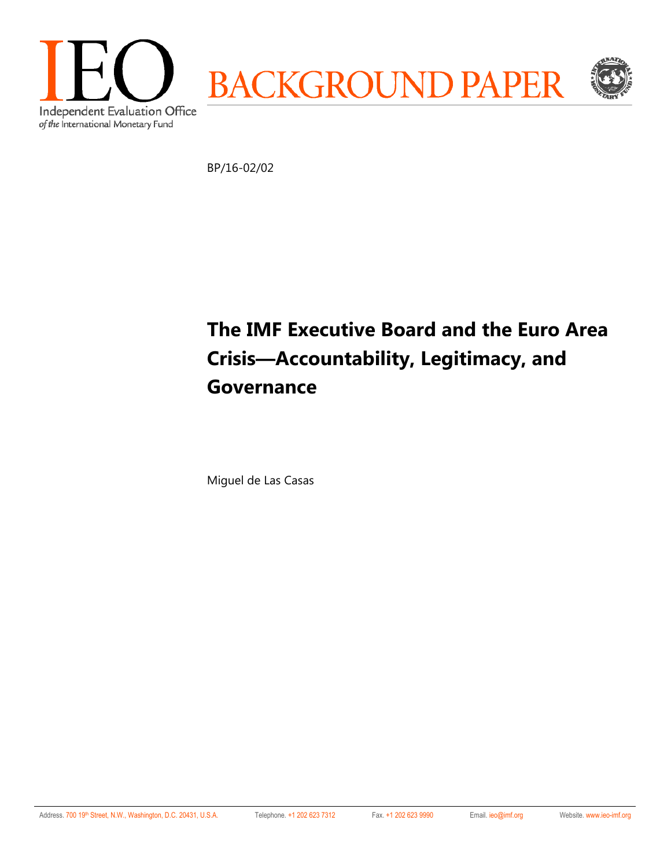

BP/16-02/02

# **The IMF Executive Board and the Euro Area Crisis—Accountability, Legitimacy, and Governance**

Miguel de Las Casas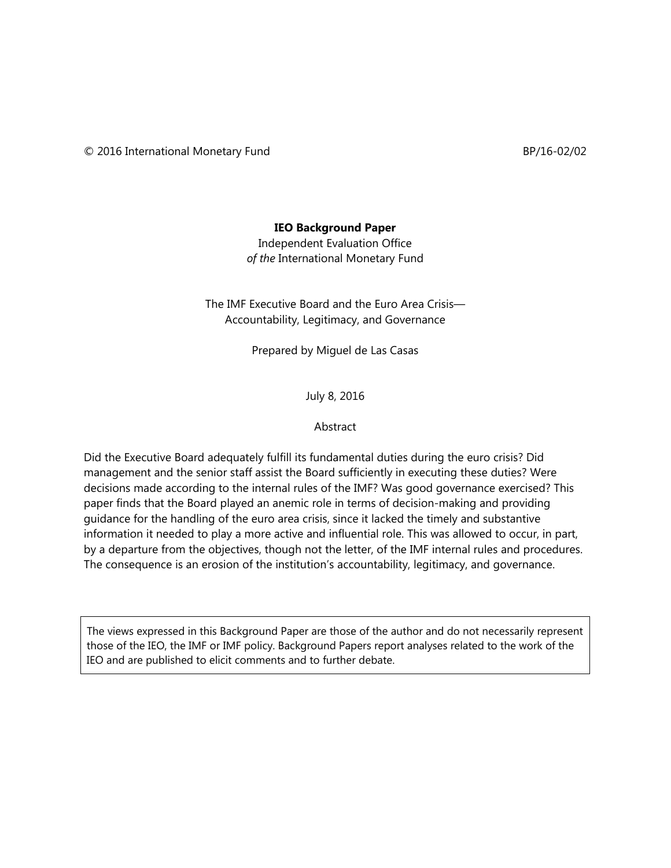#### **IEO Background Paper**

Independent Evaluation Office *of the* International Monetary Fund

The IMF Executive Board and the Euro Area Crisis— Accountability, Legitimacy, and Governance

Prepared by Miguel de Las Casas

July 8, 2016

#### Abstract

Did the Executive Board adequately fulfill its fundamental duties during the euro crisis? Did management and the senior staff assist the Board sufficiently in executing these duties? Were decisions made according to the internal rules of the IMF? Was good governance exercised? This paper finds that the Board played an anemic role in terms of decision-making and providing guidance for the handling of the euro area crisis, since it lacked the timely and substantive information it needed to play a more active and influential role. This was allowed to occur, in part, by a departure from the objectives, though not the letter, of the IMF internal rules and procedures. The consequence is an erosion of the institution's accountability, legitimacy, and governance.

The views expressed in this Background Paper are those of the author and do not necessarily represent those of the IEO, the IMF or IMF policy. Background Papers report analyses related to the work of the IEO and are published to elicit comments and to further debate.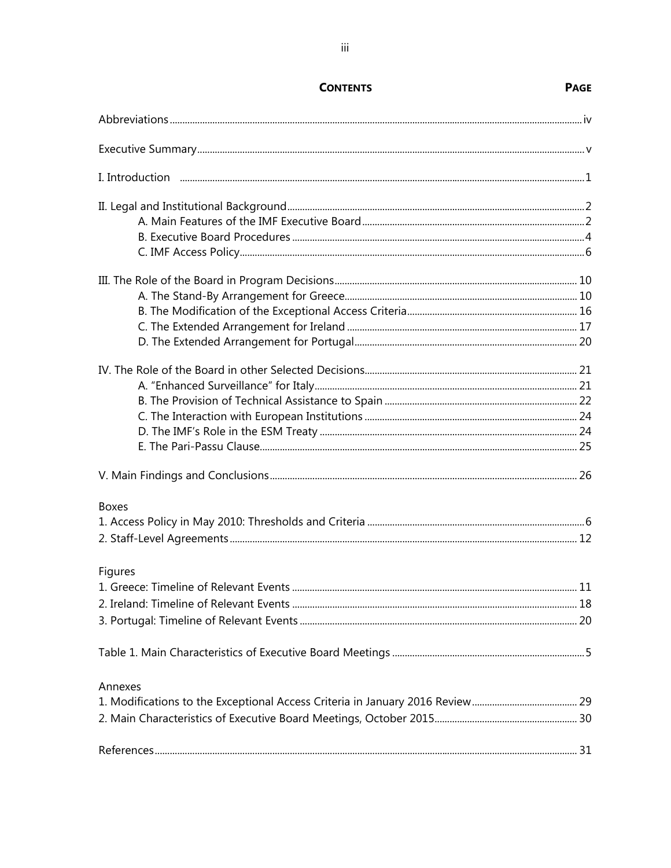| <b>Boxes</b> |  |
|--------------|--|
|              |  |
|              |  |
| Figures      |  |
|              |  |
|              |  |
|              |  |
|              |  |
|              |  |
| Annexes      |  |
|              |  |
|              |  |
|              |  |

## **CONTENTS**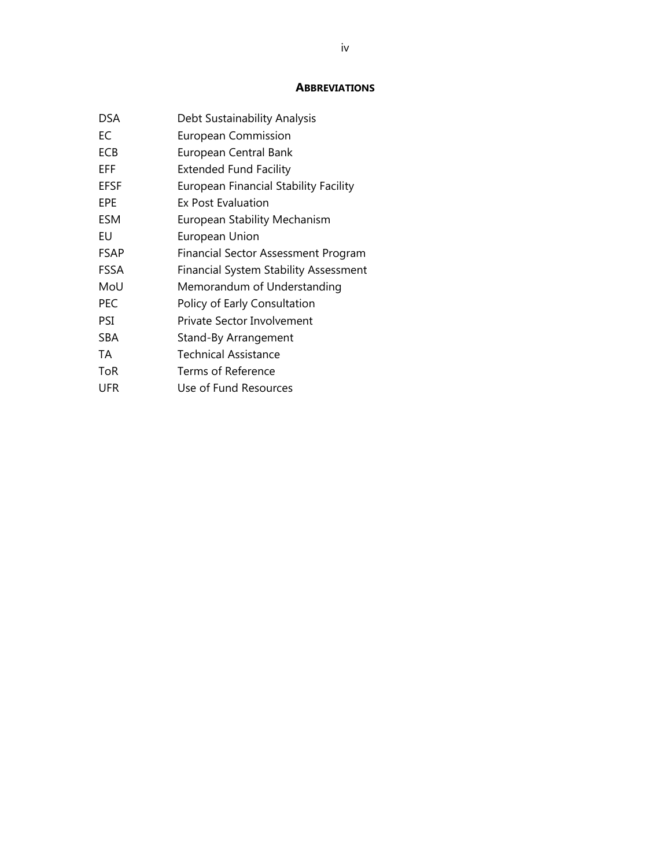#### **ABBREVIATIONS**

| Debt Sustainability Analysis                 |
|----------------------------------------------|
| European Commission                          |
| European Central Bank                        |
| <b>Extended Fund Facility</b>                |
| <b>European Financial Stability Facility</b> |
| Ex Post Evaluation                           |
| <b>European Stability Mechanism</b>          |
| European Union                               |
| Financial Sector Assessment Program          |
| <b>Financial System Stability Assessment</b> |
| Memorandum of Understanding                  |
| Policy of Early Consultation                 |
| Private Sector Involvement                   |
| Stand-By Arrangement                         |
| Technical Assistance                         |
| Terms of Reference                           |
| Use of Fund Resources                        |
|                                              |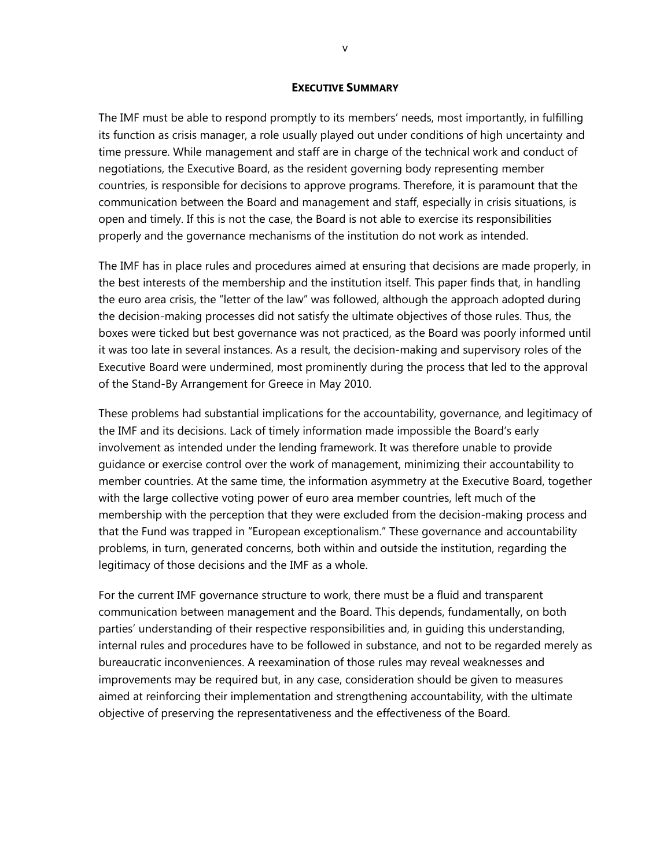#### **EXECUTIVE SUMMARY**

The IMF must be able to respond promptly to its members' needs, most importantly, in fulfilling its function as crisis manager, a role usually played out under conditions of high uncertainty and time pressure. While management and staff are in charge of the technical work and conduct of negotiations, the Executive Board, as the resident governing body representing member countries, is responsible for decisions to approve programs. Therefore, it is paramount that the communication between the Board and management and staff, especially in crisis situations, is open and timely. If this is not the case, the Board is not able to exercise its responsibilities properly and the governance mechanisms of the institution do not work as intended.

The IMF has in place rules and procedures aimed at ensuring that decisions are made properly, in the best interests of the membership and the institution itself. This paper finds that, in handling the euro area crisis, the "letter of the law" was followed, although the approach adopted during the decision-making processes did not satisfy the ultimate objectives of those rules. Thus, the boxes were ticked but best governance was not practiced, as the Board was poorly informed until it was too late in several instances. As a result, the decision-making and supervisory roles of the Executive Board were undermined, most prominently during the process that led to the approval of the Stand-By Arrangement for Greece in May 2010.

These problems had substantial implications for the accountability, governance, and legitimacy of the IMF and its decisions. Lack of timely information made impossible the Board's early involvement as intended under the lending framework. It was therefore unable to provide guidance or exercise control over the work of management, minimizing their accountability to member countries. At the same time, the information asymmetry at the Executive Board, together with the large collective voting power of euro area member countries, left much of the membership with the perception that they were excluded from the decision-making process and that the Fund was trapped in "European exceptionalism." These governance and accountability problems, in turn, generated concerns, both within and outside the institution, regarding the legitimacy of those decisions and the IMF as a whole.

For the current IMF governance structure to work, there must be a fluid and transparent communication between management and the Board. This depends, fundamentally, on both parties' understanding of their respective responsibilities and, in guiding this understanding, internal rules and procedures have to be followed in substance, and not to be regarded merely as bureaucratic inconveniences. A reexamination of those rules may reveal weaknesses and improvements may be required but, in any case, consideration should be given to measures aimed at reinforcing their implementation and strengthening accountability, with the ultimate objective of preserving the representativeness and the effectiveness of the Board.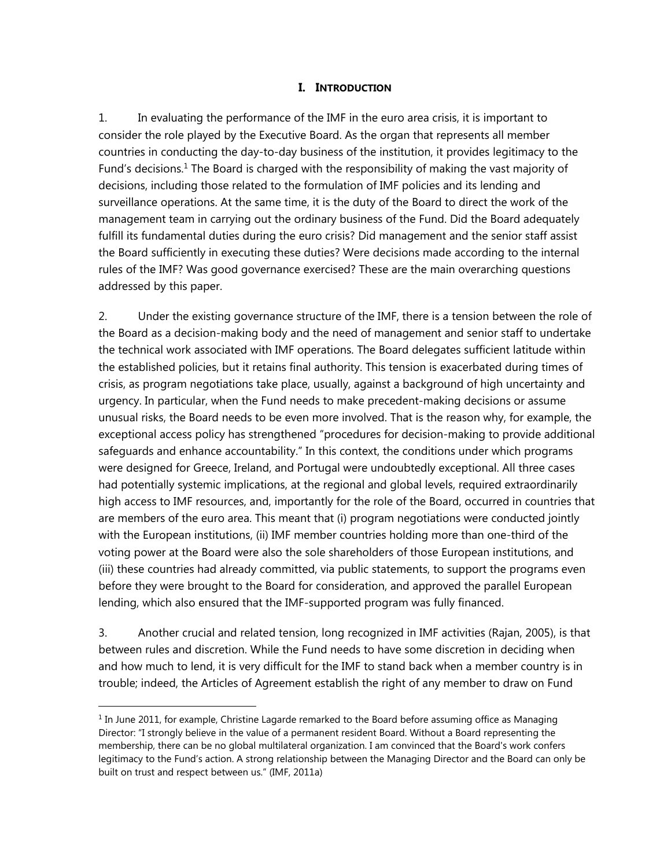#### **I. INTRODUCTION**

1. In evaluating the performance of the IMF in the euro area crisis, it is important to consider the role played by the Executive Board. As the organ that represents all member countries in conducting the day-to-day business of the institution, it provides legitimacy to the Fund's decisions.<sup>1</sup> The Board is charged with the responsibility of making the vast majority of decisions, including those related to the formulation of IMF policies and its lending and surveillance operations. At the same time, it is the duty of the Board to direct the work of the management team in carrying out the ordinary business of the Fund. Did the Board adequately fulfill its fundamental duties during the euro crisis? Did management and the senior staff assist the Board sufficiently in executing these duties? Were decisions made according to the internal rules of the IMF? Was good governance exercised? These are the main overarching questions addressed by this paper.

2. Under the existing governance structure of the IMF, there is a tension between the role of the Board as a decision-making body and the need of management and senior staff to undertake the technical work associated with IMF operations. The Board delegates sufficient latitude within the established policies, but it retains final authority. This tension is exacerbated during times of crisis, as program negotiations take place, usually, against a background of high uncertainty and urgency. In particular, when the Fund needs to make precedent-making decisions or assume unusual risks, the Board needs to be even more involved. That is the reason why, for example, the exceptional access policy has strengthened "procedures for decision-making to provide additional safeguards and enhance accountability." In this context, the conditions under which programs were designed for Greece, Ireland, and Portugal were undoubtedly exceptional. All three cases had potentially systemic implications, at the regional and global levels, required extraordinarily high access to IMF resources, and, importantly for the role of the Board, occurred in countries that are members of the euro area. This meant that (i) program negotiations were conducted jointly with the European institutions, (ii) IMF member countries holding more than one-third of the voting power at the Board were also the sole shareholders of those European institutions, and (iii) these countries had already committed, via public statements, to support the programs even before they were brought to the Board for consideration, and approved the parallel European lending, which also ensured that the IMF-supported program was fully financed.

3. Another crucial and related tension, long recognized in IMF activities (Rajan, 2005), is that between rules and discretion. While the Fund needs to have some discretion in deciding when and how much to lend, it is very difficult for the IMF to stand back when a member country is in trouble; indeed, the Articles of Agreement establish the right of any member to draw on Fund

 $1$  In June 2011, for example, Christine Lagarde remarked to the Board before assuming office as Managing Director: "I strongly believe in the value of a permanent resident Board. Without a Board representing the membership, there can be no global multilateral organization. I am convinced that the Board's work confers legitimacy to the Fund's action. A strong relationship between the Managing Director and the Board can only be built on trust and respect between us." (IMF, 2011a)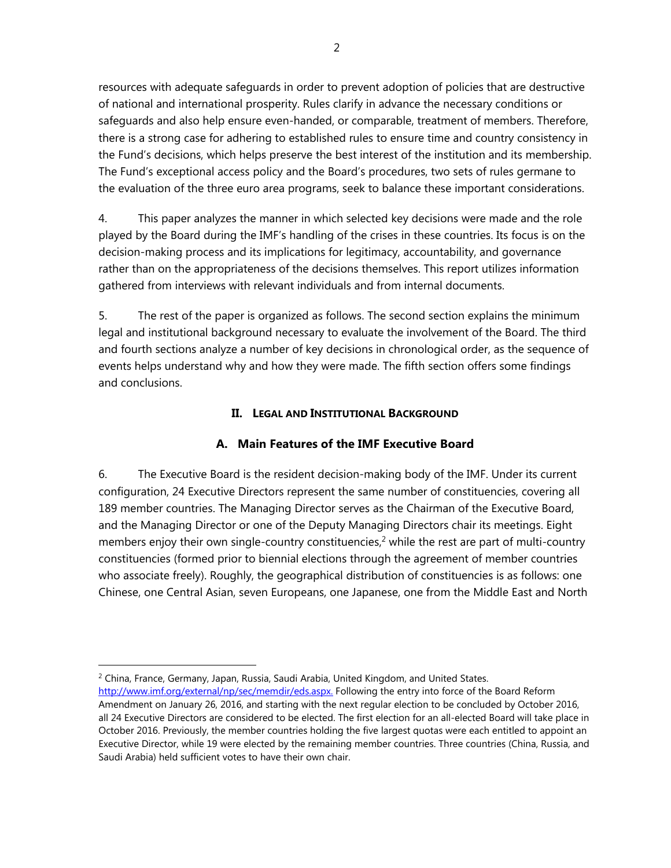resources with adequate safeguards in order to prevent adoption of policies that are destructive of national and international prosperity. Rules clarify in advance the necessary conditions or safeguards and also help ensure even-handed, or comparable, treatment of members. Therefore, there is a strong case for adhering to established rules to ensure time and country consistency in the Fund's decisions, which helps preserve the best interest of the institution and its membership. The Fund's exceptional access policy and the Board's procedures, two sets of rules germane to the evaluation of the three euro area programs, seek to balance these important considerations.

4. This paper analyzes the manner in which selected key decisions were made and the role played by the Board during the IMF's handling of the crises in these countries. Its focus is on the decision-making process and its implications for legitimacy, accountability, and governance rather than on the appropriateness of the decisions themselves. This report utilizes information gathered from interviews with relevant individuals and from internal documents.

5. The rest of the paper is organized as follows. The second section explains the minimum legal and institutional background necessary to evaluate the involvement of the Board. The third and fourth sections analyze a number of key decisions in chronological order, as the sequence of events helps understand why and how they were made. The fifth section offers some findings and conclusions.

#### **II. LEGAL AND INSTITUTIONAL BACKGROUND**

## **A. Main Features of the IMF Executive Board**

6. The Executive Board is the resident decision-making body of the IMF. Under its current configuration, 24 Executive Directors represent the same number of constituencies, covering all 189 member countries. The Managing Director serves as the Chairman of the Executive Board, and the Managing Director or one of the Deputy Managing Directors chair its meetings. Eight members enjoy their own single-country constituencies,<sup>2</sup> while the rest are part of multi-country constituencies (formed prior to biennial elections through the agreement of member countries who associate freely). Roughly, the geographical distribution of constituencies is as follows: one Chinese, one Central Asian, seven Europeans, one Japanese, one from the Middle East and North

<sup>2</sup> China, France, Germany, Japan, Russia, Saudi Arabia, United Kingdom, and United States.

 $\overline{a}$ 

http://www.imf.org/external/np/sec/memdir/eds.aspx. Following the entry into force of the Board Reform Amendment on January 26, 2016, and starting with the next regular election to be concluded by October 2016, all 24 Executive Directors are considered to be elected. The first election for an all-elected Board will take place in October 2016. Previously, the member countries holding the five largest quotas were each entitled to appoint an Executive Director, while 19 were elected by the remaining member countries. Three countries (China, Russia, and Saudi Arabia) held sufficient votes to have their own chair.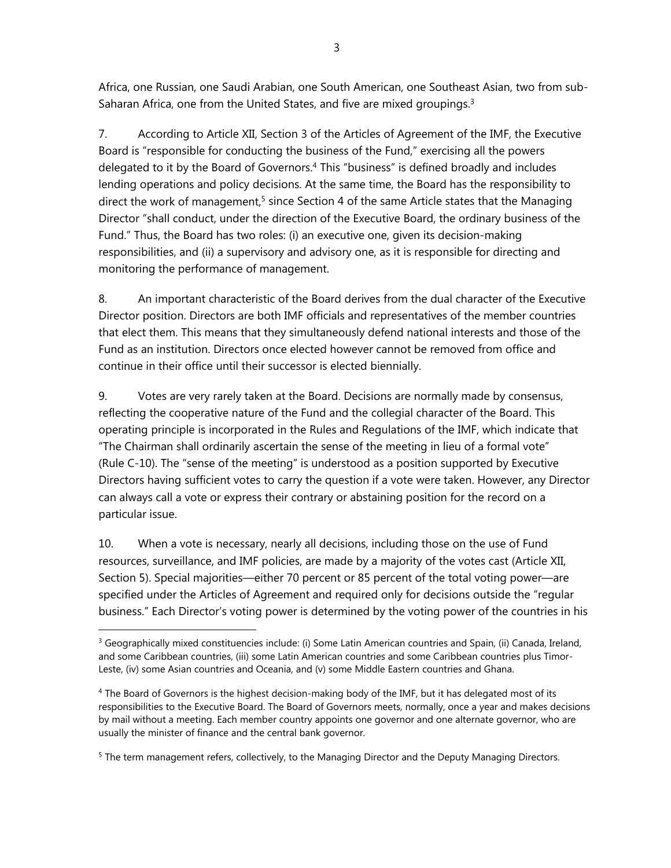Africa, one Russian, one Saudi Arabian, one South American, one Southeast Asian, two from sub-Saharan Africa, one from the United States, and five are mixed groupings.<sup>3</sup>

7. According to Article XII, Section 3 of the Articles of Agreement of the IMF, the Executive Board is "responsible for conducting the business of the Fund," exercising all the powers delegated to it by the Board of Governors.<sup>4</sup> This "business" is defined broadly and includes lending operations and policy decisions. At the same time, the Board has the responsibility to direct the work of management,<sup>5</sup> since Section 4 of the same Article states that the Managing Director "shall conduct, under the direction of the Executive Board, the ordinary business of the Fund." Thus, the Board has two roles: (i) an executive one, given its decision-making responsibilities, and (ii) a supervisory and advisory one, as it is responsible for directing and monitoring the performance of management.

8. An important characteristic of the Board derives from the dual character of the Executive Director position. Directors are both IMF officials and representatives of the member countries that elect them. This means that they simultaneously defend national interests and those of the Fund as an institution. Directors once elected however cannot be removed from office and continue in their office until their successor is elected biennially.

9. Votes are very rarely taken at the Board. Decisions are normally made by consensus, reflecting the cooperative nature of the Fund and the collegial character of the Board. This operating principle is incorporated in the Rules and Regulations of the IMF, which indicate that "The Chairman shall ordinarily ascertain the sense of the meeting in lieu of a formal vote" (Rule C-10). The "sense of the meeting" is understood as a position supported by Executive Directors having sufficient votes to carry the question if a vote were taken. However, any Director can always call a vote or express their contrary or abstaining position for the record on a particular issue.

10. When a vote is necessary, nearly all decisions, including those on the use of Fund resources, surveillance, and IMF policies, are made by a majority of the votes cast (Article XII, Section 5). Special majorities—either 70 percent or 85 percent of the total voting power—are specified under the Articles of Agreement and required only for decisions outside the "regular business." Each Director's voting power is determined by the voting power of the countries in his

 $\overline{a}$ 

<sup>5</sup> The term management refers, collectively, to the Managing Director and the Deputy Managing Directors.

 $3$  Geographically mixed constituencies include: (i) Some Latin American countries and Spain, (ii) Canada, Ireland, and some Caribbean countries, (iii) some Latin American countries and some Caribbean countries plus Timor-Leste, (iv) some Asian countries and Oceania, and (v) some Middle Eastern countries and Ghana.

<sup>&</sup>lt;sup>4</sup> The Board of Governors is the highest decision-making body of the IMF, but it has delegated most of its responsibilities to the Executive Board. The Board of Governors meets, normally, once a year and makes decisions by mail without a meeting. Each member country appoints one governor and one alternate governor, who are usually the minister of finance and the central bank governor.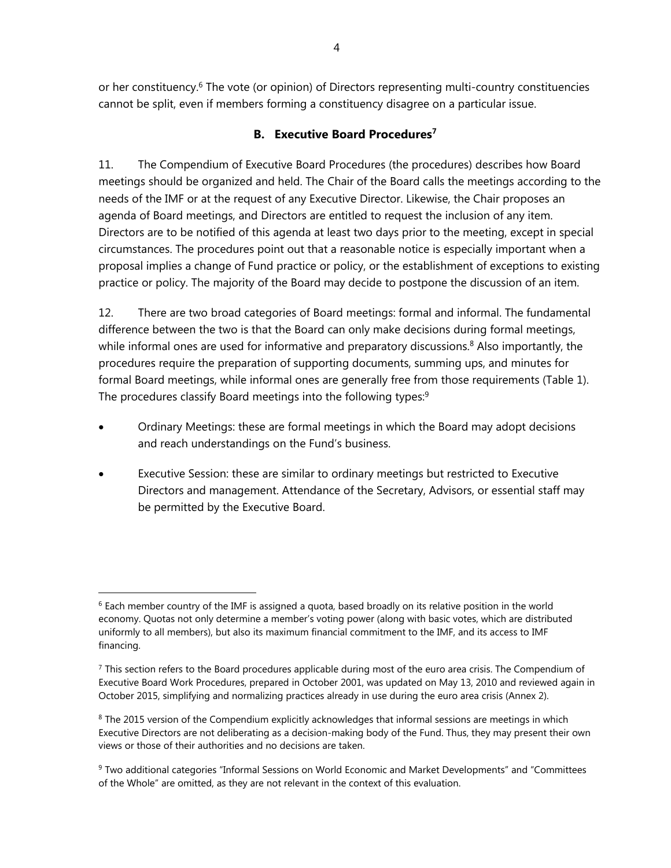or her constituency.<sup>6</sup> The vote (or opinion) of Directors representing multi-country constituencies cannot be split, even if members forming a constituency disagree on a particular issue.

## **B. Executive Board Procedures<sup>7</sup>**

11. The Compendium of Executive Board Procedures (the procedures) describes how Board meetings should be organized and held. The Chair of the Board calls the meetings according to the needs of the IMF or at the request of any Executive Director. Likewise, the Chair proposes an agenda of Board meetings, and Directors are entitled to request the inclusion of any item. Directors are to be notified of this agenda at least two days prior to the meeting, except in special circumstances. The procedures point out that a reasonable notice is especially important when a proposal implies a change of Fund practice or policy, or the establishment of exceptions to existing practice or policy. The majority of the Board may decide to postpone the discussion of an item.

12. There are two broad categories of Board meetings: formal and informal. The fundamental difference between the two is that the Board can only make decisions during formal meetings, while informal ones are used for informative and preparatory discussions.<sup>8</sup> Also importantly, the procedures require the preparation of supporting documents, summing ups, and minutes for formal Board meetings, while informal ones are generally free from those requirements (Table 1). The procedures classify Board meetings into the following types:<sup>9</sup>

- Ordinary Meetings: these are formal meetings in which the Board may adopt decisions and reach understandings on the Fund's business.
- Executive Session: these are similar to ordinary meetings but restricted to Executive Directors and management. Attendance of the Secretary, Advisors, or essential staff may be permitted by the Executive Board.

 $6$  Each member country of the IMF is assigned a quota, based broadly on its relative position in the world economy. Quotas not only determine a member's voting power (along with basic votes, which are distributed uniformly to all members), but also its maximum financial commitment to the IMF, and its access to IMF financing.

 $<sup>7</sup>$  This section refers to the Board procedures applicable during most of the euro area crisis. The Compendium of</sup> Executive Board Work Procedures, prepared in October 2001, was updated on May 13, 2010 and reviewed again in October 2015, simplifying and normalizing practices already in use during the euro area crisis (Annex 2).

<sup>&</sup>lt;sup>8</sup> The 2015 version of the Compendium explicitly acknowledges that informal sessions are meetings in which Executive Directors are not deliberating as a decision-making body of the Fund. Thus, they may present their own views or those of their authorities and no decisions are taken.

<sup>&</sup>lt;sup>9</sup> Two additional categories "Informal Sessions on World Economic and Market Developments" and "Committees of the Whole" are omitted, as they are not relevant in the context of this evaluation.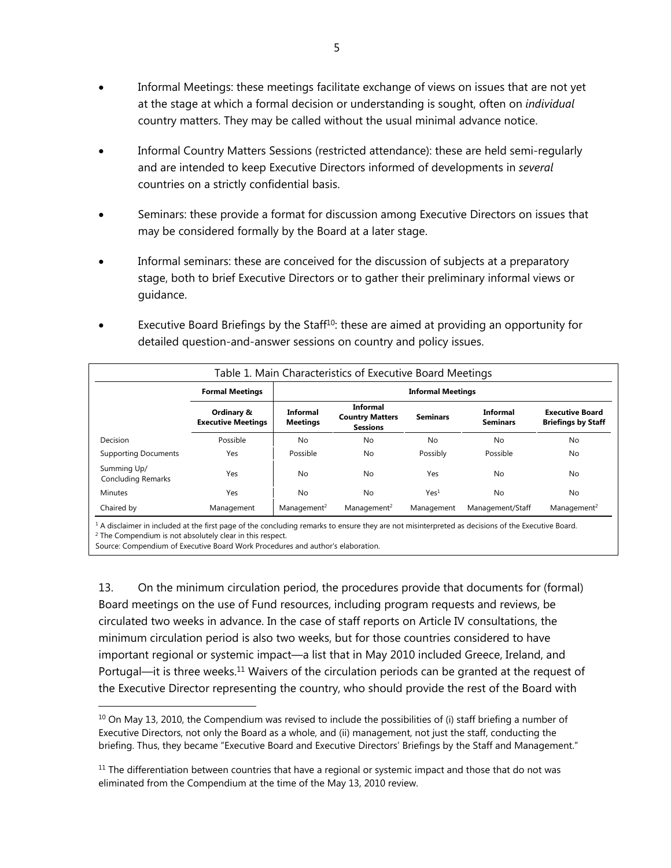- Informal Meetings: these meetings facilitate exchange of views on issues that are not yet at the stage at which a formal decision or understanding is sought, often on *individual* country matters. They may be called without the usual minimal advance notice.
- Informal Country Matters Sessions (restricted attendance): these are held semi-regularly and are intended to keep Executive Directors informed of developments in *several* countries on a strictly confidential basis.
- Seminars: these provide a format for discussion among Executive Directors on issues that may be considered formally by the Board at a later stage.
- Informal seminars: these are conceived for the discussion of subjects at a preparatory stage, both to brief Executive Directors or to gather their preliminary informal views or guidance.
- Executive Board Briefings by the Staff<sup>10</sup>: these are aimed at providing an opportunity for detailed question-and-answer sessions on country and policy issues.

|                                          |                                         |                             | Table 1. Main Characteristics of Executive Board Meetings |                  |                                    |                                                     |
|------------------------------------------|-----------------------------------------|-----------------------------|-----------------------------------------------------------|------------------|------------------------------------|-----------------------------------------------------|
|                                          | <b>Formal Meetings</b>                  | <b>Informal Meetings</b>    |                                                           |                  |                                    |                                                     |
|                                          | Ordinary &<br><b>Executive Meetings</b> | Informal<br><b>Meetings</b> | Informal<br><b>Country Matters</b><br><b>Sessions</b>     | <b>Seminars</b>  | <b>Informal</b><br><b>Seminars</b> | <b>Executive Board</b><br><b>Briefings by Staff</b> |
| Decision                                 | Possible                                | No                          | No                                                        | <b>No</b>        | No                                 | No                                                  |
| <b>Supporting Documents</b>              | Yes                                     | Possible                    | No                                                        | Possibly         | Possible                           | No                                                  |
| Summing Up/<br><b>Concluding Remarks</b> | Yes                                     | No                          | No                                                        | Yes              | No                                 | No                                                  |
| <b>Minutes</b>                           | Yes                                     | No                          | No                                                        | Yes <sup>1</sup> | No                                 | No                                                  |
| Chaired by                               | Management                              | Management <sup>2</sup>     | Management <sup>2</sup>                                   | Management       | Management/Staff                   | Management <sup>2</sup>                             |

 $^1$  A disclaimer in included at the first page of the concluding remarks to ensure they are not misinterpreted as decisions of the Executive Board.<br><sup>2</sup> The Compendium is not absolutely clear in this respect.  $2$  The Compendium is not absolutely clear in this respect.

Source: Compendium of Executive Board Work Procedures and author's elaboration.

 $\overline{a}$ 

13. On the minimum circulation period, the procedures provide that documents for (formal) Board meetings on the use of Fund resources, including program requests and reviews, be circulated two weeks in advance. In the case of staff reports on Article IV consultations, the minimum circulation period is also two weeks, but for those countries considered to have important regional or systemic impact—a list that in May 2010 included Greece, Ireland, and Portugal—it is three weeks.<sup>11</sup> Waivers of the circulation periods can be granted at the request of the Executive Director representing the country, who should provide the rest of the Board with

 $10$  On May 13, 2010, the Compendium was revised to include the possibilities of (i) staff briefing a number of Executive Directors, not only the Board as a whole, and (ii) management, not just the staff, conducting the briefing. Thus, they became "Executive Board and Executive Directors' Briefings by the Staff and Management."

 $11$  The differentiation between countries that have a regional or systemic impact and those that do not was eliminated from the Compendium at the time of the May 13, 2010 review.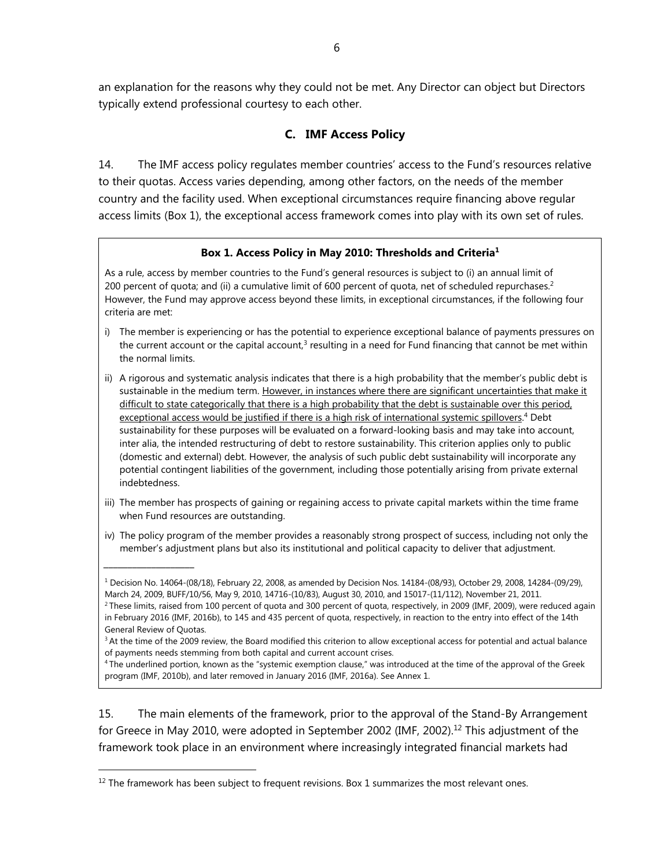an explanation for the reasons why they could not be met. Any Director can object but Directors typically extend professional courtesy to each other.

#### **C. IMF Access Policy**

14. The IMF access policy regulates member countries' access to the Fund's resources relative to their quotas. Access varies depending, among other factors, on the needs of the member country and the facility used. When exceptional circumstances require financing above regular access limits (Box 1), the exceptional access framework comes into play with its own set of rules.

#### **Box 1. Access Policy in May 2010: Thresholds and Criteria1**

As a rule, access by member countries to the Fund's general resources is subject to (i) an annual limit of 200 percent of quota; and (ii) a cumulative limit of 600 percent of quota, net of scheduled repurchases.<sup>2</sup> However, the Fund may approve access beyond these limits, in exceptional circumstances, if the following four criteria are met:

- i) The member is experiencing or has the potential to experience exceptional balance of payments pressures on the current account or the capital account, $3$  resulting in a need for Fund financing that cannot be met within the normal limits.
- ii) A rigorous and systematic analysis indicates that there is a high probability that the member's public debt is sustainable in the medium term. However, in instances where there are significant uncertainties that make it difficult to state categorically that there is a high probability that the debt is sustainable over this period, exceptional access would be justified if there is a high risk of international systemic spillovers.<sup>4</sup> Debt sustainability for these purposes will be evaluated on a forward-looking basis and may take into account, inter alia, the intended restructuring of debt to restore sustainability. This criterion applies only to public (domestic and external) debt. However, the analysis of such public debt sustainability will incorporate any potential contingent liabilities of the government, including those potentially arising from private external indebtedness.
- iii) The member has prospects of gaining or regaining access to private capital markets within the time frame when Fund resources are outstanding.
- iv) The policy program of the member provides a reasonably strong prospect of success, including not only the member's adjustment plans but also its institutional and political capacity to deliver that adjustment.

15. The main elements of the framework, prior to the approval of the Stand-By Arrangement for Greece in May 2010, were adopted in September 2002 (IMF, 2002).<sup>12</sup> This adjustment of the framework took place in an environment where increasingly integrated financial markets had

 $\overline{a}$ 

\_\_\_\_\_\_\_\_\_\_\_\_\_\_\_\_\_\_\_

<sup>1</sup> Decision No. 14064-(08/18), February 22, 2008, as amended by Decision Nos. 14184-(08/93), October 29, 2008, 14284-(09/29), March 24, 2009, BUFF/10/56, May 9, 2010, 14716-(10/83), August 30, 2010, and 15017-(11/112), November 21, 2011.

<sup>&</sup>lt;sup>2</sup> These limits, raised from 100 percent of quota and 300 percent of quota, respectively, in 2009 (IMF, 2009), were reduced again in February 2016 (IMF, 2016b), to 145 and 435 percent of quota, respectively, in reaction to the entry into effect of the 14th General Review of Quotas.

<sup>&</sup>lt;sup>3</sup> At the time of the 2009 review, the Board modified this criterion to allow exceptional access for potential and actual balance of payments needs stemming from both capital and current account crises.

<sup>4</sup> The underlined portion, known as the "systemic exemption clause," was introduced at the time of the approval of the Greek program (IMF, 2010b), and later removed in January 2016 (IMF, 2016a). See Annex 1.

 $12$  The framework has been subject to frequent revisions. Box 1 summarizes the most relevant ones.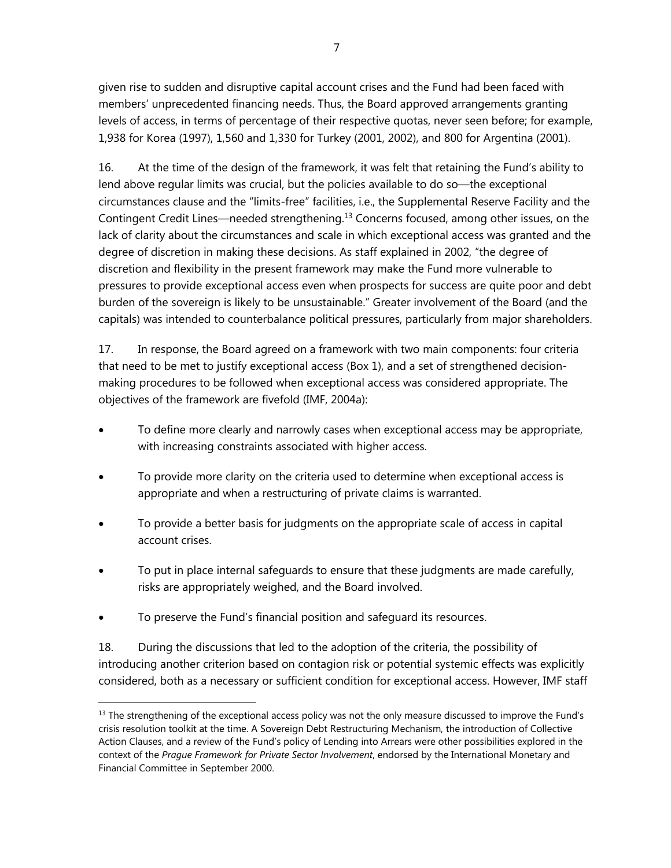given rise to sudden and disruptive capital account crises and the Fund had been faced with members' unprecedented financing needs. Thus, the Board approved arrangements granting levels of access, in terms of percentage of their respective quotas, never seen before; for example, 1,938 for Korea (1997), 1,560 and 1,330 for Turkey (2001, 2002), and 800 for Argentina (2001).

16. At the time of the design of the framework, it was felt that retaining the Fund's ability to lend above regular limits was crucial, but the policies available to do so—the exceptional circumstances clause and the "limits-free" facilities, i.e., the Supplemental Reserve Facility and the Contingent Credit Lines—needed strengthening.13 Concerns focused, among other issues, on the lack of clarity about the circumstances and scale in which exceptional access was granted and the degree of discretion in making these decisions. As staff explained in 2002, "the degree of discretion and flexibility in the present framework may make the Fund more vulnerable to pressures to provide exceptional access even when prospects for success are quite poor and debt burden of the sovereign is likely to be unsustainable." Greater involvement of the Board (and the capitals) was intended to counterbalance political pressures, particularly from major shareholders.

17. In response, the Board agreed on a framework with two main components: four criteria that need to be met to justify exceptional access (Box 1), and a set of strengthened decisionmaking procedures to be followed when exceptional access was considered appropriate. The objectives of the framework are fivefold (IMF, 2004a):

- To define more clearly and narrowly cases when exceptional access may be appropriate, with increasing constraints associated with higher access.
- To provide more clarity on the criteria used to determine when exceptional access is appropriate and when a restructuring of private claims is warranted.
- To provide a better basis for judgments on the appropriate scale of access in capital account crises.
- To put in place internal safeguards to ensure that these judgments are made carefully, risks are appropriately weighed, and the Board involved.
- To preserve the Fund's financial position and safeguard its resources.

 $\overline{a}$ 

18. During the discussions that led to the adoption of the criteria, the possibility of introducing another criterion based on contagion risk or potential systemic effects was explicitly considered, both as a necessary or sufficient condition for exceptional access. However, IMF staff

 $<sup>13</sup>$  The strengthening of the exceptional access policy was not the only measure discussed to improve the Fund's</sup> crisis resolution toolkit at the time. A Sovereign Debt Restructuring Mechanism, the introduction of Collective Action Clauses, and a review of the Fund's policy of Lending into Arrears were other possibilities explored in the context of the *Prague Framework for Private Sector Involvement*, endorsed by the International Monetary and Financial Committee in September 2000.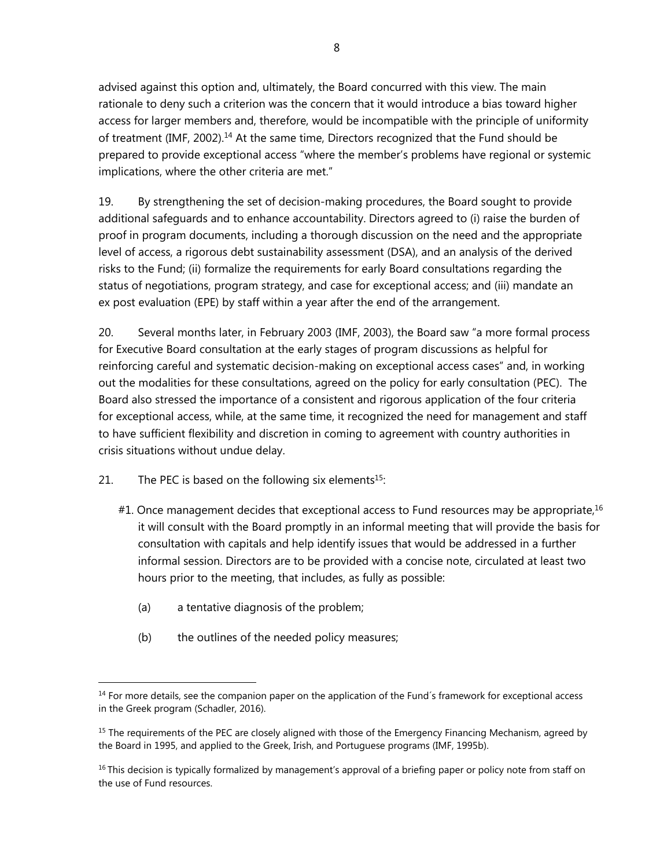advised against this option and, ultimately, the Board concurred with this view. The main rationale to deny such a criterion was the concern that it would introduce a bias toward higher access for larger members and, therefore, would be incompatible with the principle of uniformity of treatment (IMF, 2002).14 At the same time, Directors recognized that the Fund should be prepared to provide exceptional access "where the member's problems have regional or systemic implications, where the other criteria are met."

19. By strengthening the set of decision-making procedures, the Board sought to provide additional safeguards and to enhance accountability. Directors agreed to (i) raise the burden of proof in program documents, including a thorough discussion on the need and the appropriate level of access, a rigorous debt sustainability assessment (DSA), and an analysis of the derived risks to the Fund; (ii) formalize the requirements for early Board consultations regarding the status of negotiations, program strategy, and case for exceptional access; and (iii) mandate an ex post evaluation (EPE) by staff within a year after the end of the arrangement.

20. Several months later, in February 2003 (IMF, 2003), the Board saw "a more formal process for Executive Board consultation at the early stages of program discussions as helpful for reinforcing careful and systematic decision-making on exceptional access cases" and, in working out the modalities for these consultations, agreed on the policy for early consultation (PEC). The Board also stressed the importance of a consistent and rigorous application of the four criteria for exceptional access, while, at the same time, it recognized the need for management and staff to have sufficient flexibility and discretion in coming to agreement with country authorities in crisis situations without undue delay.

21. The PEC is based on the following six elements<sup>15</sup>:

- $#1$ . Once management decides that exceptional access to Fund resources may be appropriate,<sup>16</sup> it will consult with the Board promptly in an informal meeting that will provide the basis for consultation with capitals and help identify issues that would be addressed in a further informal session. Directors are to be provided with a concise note, circulated at least two hours prior to the meeting, that includes, as fully as possible:
	- (a) a tentative diagnosis of the problem;

 $\overline{a}$ 

(b) the outlines of the needed policy measures;

<sup>&</sup>lt;sup>14</sup> For more details, see the companion paper on the application of the Fund's framework for exceptional access in the Greek program (Schadler, 2016).

<sup>&</sup>lt;sup>15</sup> The requirements of the PEC are closely aligned with those of the Emergency Financing Mechanism, agreed by the Board in 1995, and applied to the Greek, Irish, and Portuguese programs (IMF, 1995b).

 $<sup>16</sup>$  This decision is typically formalized by management's approval of a briefing paper or policy note from staff on</sup> the use of Fund resources.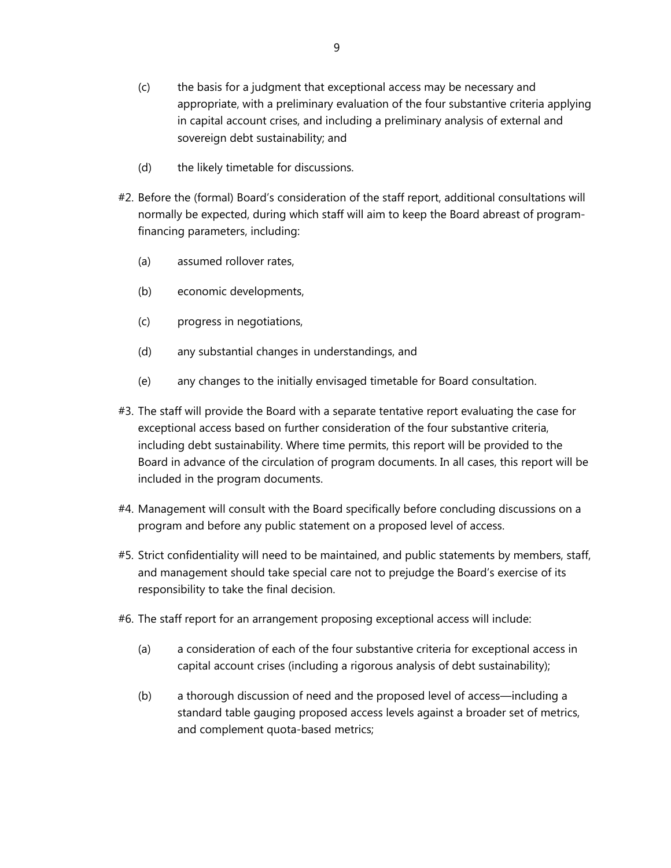- (c) the basis for a judgment that exceptional access may be necessary and appropriate, with a preliminary evaluation of the four substantive criteria applying in capital account crises, and including a preliminary analysis of external and sovereign debt sustainability; and
- (d) the likely timetable for discussions.
- #2. Before the (formal) Board's consideration of the staff report, additional consultations will normally be expected, during which staff will aim to keep the Board abreast of programfinancing parameters, including:
	- (a) assumed rollover rates,
	- (b) economic developments,
	- (c) progress in negotiations,
	- (d) any substantial changes in understandings, and
	- (e) any changes to the initially envisaged timetable for Board consultation.
- #3. The staff will provide the Board with a separate tentative report evaluating the case for exceptional access based on further consideration of the four substantive criteria, including debt sustainability. Where time permits, this report will be provided to the Board in advance of the circulation of program documents. In all cases, this report will be included in the program documents.
- #4. Management will consult with the Board specifically before concluding discussions on a program and before any public statement on a proposed level of access.
- #5. Strict confidentiality will need to be maintained, and public statements by members, staff, and management should take special care not to prejudge the Board's exercise of its responsibility to take the final decision.
- #6. The staff report for an arrangement proposing exceptional access will include:
	- (a) a consideration of each of the four substantive criteria for exceptional access in capital account crises (including a rigorous analysis of debt sustainability);
	- (b) a thorough discussion of need and the proposed level of access—including a standard table gauging proposed access levels against a broader set of metrics, and complement quota-based metrics;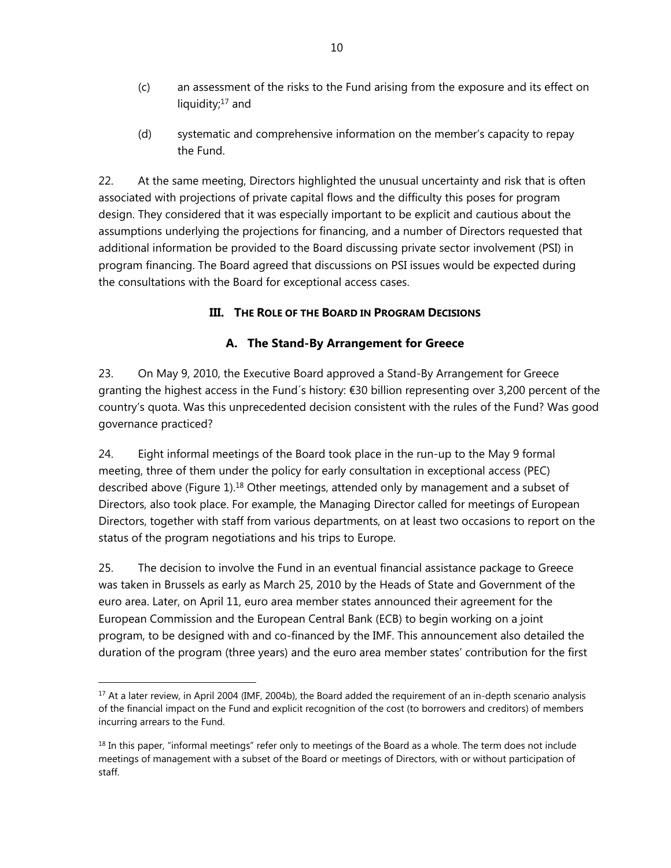- (c) an assessment of the risks to the Fund arising from the exposure and its effect on liquidity;<sup>17</sup> and
- (d) systematic and comprehensive information on the member's capacity to repay the Fund.

22. At the same meeting, Directors highlighted the unusual uncertainty and risk that is often associated with projections of private capital flows and the difficulty this poses for program design. They considered that it was especially important to be explicit and cautious about the assumptions underlying the projections for financing, and a number of Directors requested that additional information be provided to the Board discussing private sector involvement (PSI) in program financing. The Board agreed that discussions on PSI issues would be expected during the consultations with the Board for exceptional access cases.

#### **III. THE ROLE OF THE BOARD IN PROGRAM DECISIONS**

#### **A. The Stand-By Arrangement for Greece**

23. On May 9, 2010, the Executive Board approved a Stand-By Arrangement for Greece granting the highest access in the Fund´s history: €30 billion representing over 3,200 percent of the country's quota. Was this unprecedented decision consistent with the rules of the Fund? Was good governance practiced?

24. Eight informal meetings of the Board took place in the run-up to the May 9 formal meeting, three of them under the policy for early consultation in exceptional access (PEC) described above (Figure 1).<sup>18</sup> Other meetings, attended only by management and a subset of Directors, also took place. For example, the Managing Director called for meetings of European Directors, together with staff from various departments, on at least two occasions to report on the status of the program negotiations and his trips to Europe.

25. The decision to involve the Fund in an eventual financial assistance package to Greece was taken in Brussels as early as March 25, 2010 by the Heads of State and Government of the euro area. Later, on April 11, euro area member states announced their agreement for the European Commission and the European Central Bank (ECB) to begin working on a joint program, to be designed with and co-financed by the IMF. This announcement also detailed the duration of the program (three years) and the euro area member states' contribution for the first

 $\overline{a}$ <sup>17</sup> At a later review, in April 2004 (IMF, 2004b), the Board added the requirement of an in-depth scenario analysis of the financial impact on the Fund and explicit recognition of the cost (to borrowers and creditors) of members incurring arrears to the Fund.

 $18$  In this paper, "informal meetings" refer only to meetings of the Board as a whole. The term does not include meetings of management with a subset of the Board or meetings of Directors, with or without participation of staff.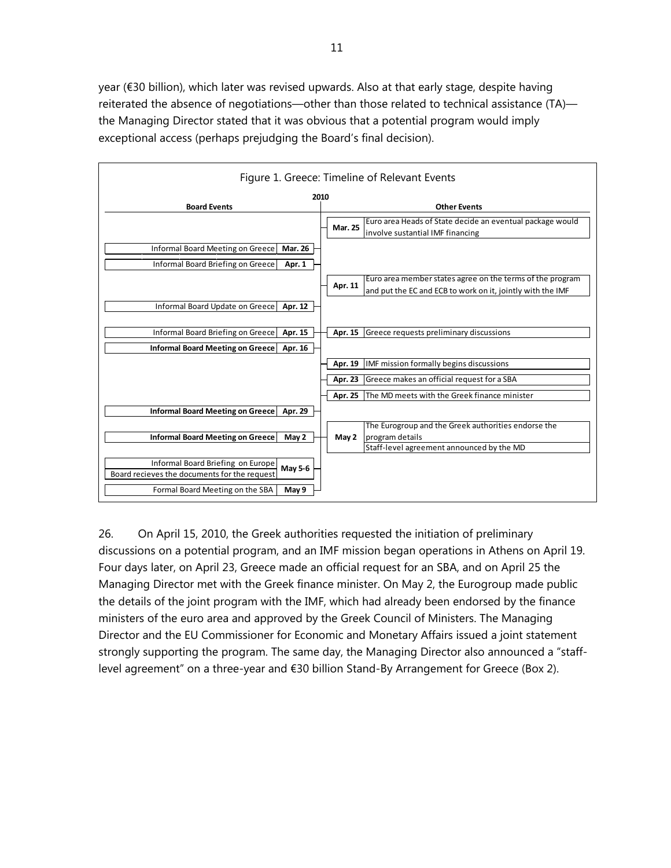year (€30 billion), which later was revised upwards. Also at that early stage, despite having reiterated the absence of negotiations—other than those related to technical assistance (TA) the Managing Director stated that it was obvious that a potential program would imply exceptional access (perhaps prejudging the Board's final decision).

|                                                                                                   | Figure 1. Greece: Timeline of Relevant Events                                                                                      |
|---------------------------------------------------------------------------------------------------|------------------------------------------------------------------------------------------------------------------------------------|
| 2010                                                                                              |                                                                                                                                    |
| <b>Board Events</b>                                                                               | <b>Other Events</b>                                                                                                                |
|                                                                                                   | Euro area Heads of State decide an eventual package would<br><b>Mar. 25</b><br>involve sustantial IMF financing                    |
| Informal Board Meeting on Greece<br><b>Mar. 26</b><br>Informal Board Briefing on Greece<br>Apr. 1 |                                                                                                                                    |
|                                                                                                   | Euro area member states agree on the terms of the program<br>Apr. 11<br>and put the EC and ECB to work on it, jointly with the IMF |
| Informal Board Update on Greece<br>Apr. 12                                                        |                                                                                                                                    |
| Informal Board Briefing on Greece<br>Apr. 15<br>Informal Board Meeting on Greece<br>Apr. 16       | Apr. 15 Greece requests preliminary discussions                                                                                    |
|                                                                                                   | IMF mission formally begins discussions<br>Apr. 19                                                                                 |
|                                                                                                   | Greece makes an official request for a SBA<br>Apr. 23                                                                              |
|                                                                                                   | Apr. 25 The MD meets with the Greek finance minister                                                                               |
| Informal Board Meeting on Greece<br>Apr. 29                                                       |                                                                                                                                    |
| <b>Informal Board Meeting on Greece</b><br>May 2                                                  | The Eurogroup and the Greek authorities endorse the<br>May 2<br>program details<br>Staff-level agreement announced by the MD       |
| Informal Board Briefing on Europe<br>May 5-6<br>Board recieves the documents for the request      |                                                                                                                                    |
| Formal Board Meeting on the SBA<br>May 9                                                          |                                                                                                                                    |

26. On April 15, 2010, the Greek authorities requested the initiation of preliminary discussions on a potential program, and an IMF mission began operations in Athens on April 19. Four days later, on April 23, Greece made an official request for an SBA, and on April 25 the Managing Director met with the Greek finance minister. On May 2, the Eurogroup made public the details of the joint program with the IMF, which had already been endorsed by the finance ministers of the euro area and approved by the Greek Council of Ministers. The Managing Director and the EU Commissioner for Economic and Monetary Affairs issued a joint statement strongly supporting the program. The same day, the Managing Director also announced a "stafflevel agreement" on a three-year and €30 billion Stand-By Arrangement for Greece (Box 2).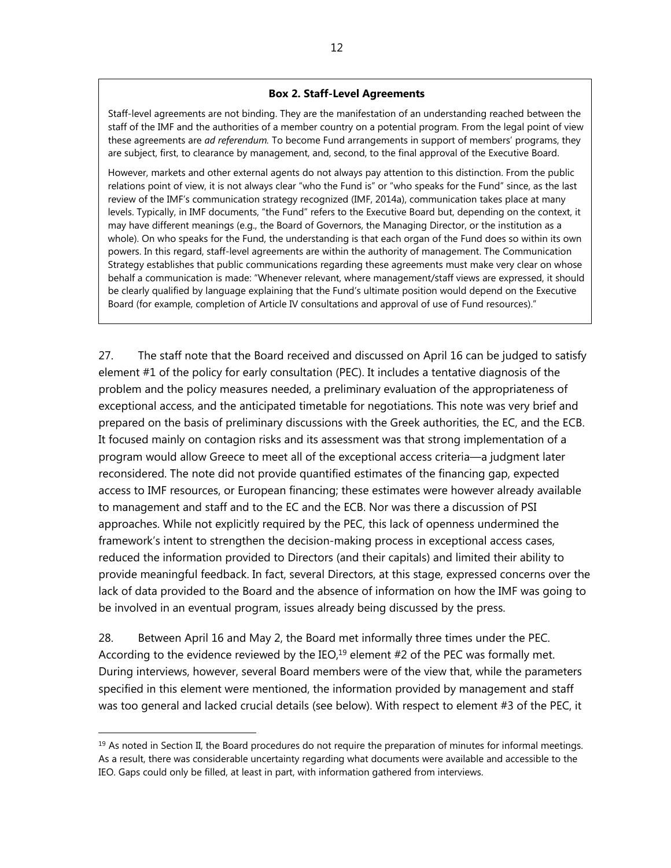#### **Box 2. Staff-Level Agreements**

Staff-level agreements are not binding. They are the manifestation of an understanding reached between the staff of the IMF and the authorities of a member country on a potential program. From the legal point of view these agreements are *ad referendum.* To become Fund arrangements in support of members' programs, they are subject, first, to clearance by management, and, second, to the final approval of the Executive Board.

However, markets and other external agents do not always pay attention to this distinction. From the public relations point of view, it is not always clear "who the Fund is" or "who speaks for the Fund" since, as the last review of the IMF's communication strategy recognized (IMF, 2014a), communication takes place at many levels. Typically, in IMF documents, "the Fund" refers to the Executive Board but, depending on the context, it may have different meanings (e.g., the Board of Governors, the Managing Director, or the institution as a whole). On who speaks for the Fund, the understanding is that each organ of the Fund does so within its own powers. In this regard, staff-level agreements are within the authority of management. The Communication Strategy establishes that public communications regarding these agreements must make very clear on whose behalf a communication is made: "Whenever relevant, where management/staff views are expressed, it should be clearly qualified by language explaining that the Fund's ultimate position would depend on the Executive Board (for example, completion of Article IV consultations and approval of use of Fund resources)."

27. The staff note that the Board received and discussed on April 16 can be judged to satisfy element #1 of the policy for early consultation (PEC). It includes a tentative diagnosis of the problem and the policy measures needed, a preliminary evaluation of the appropriateness of exceptional access, and the anticipated timetable for negotiations. This note was very brief and prepared on the basis of preliminary discussions with the Greek authorities, the EC, and the ECB. It focused mainly on contagion risks and its assessment was that strong implementation of a program would allow Greece to meet all of the exceptional access criteria—a judgment later reconsidered. The note did not provide quantified estimates of the financing gap, expected access to IMF resources, or European financing; these estimates were however already available to management and staff and to the EC and the ECB. Nor was there a discussion of PSI approaches. While not explicitly required by the PEC, this lack of openness undermined the framework's intent to strengthen the decision-making process in exceptional access cases, reduced the information provided to Directors (and their capitals) and limited their ability to provide meaningful feedback. In fact, several Directors, at this stage, expressed concerns over the lack of data provided to the Board and the absence of information on how the IMF was going to be involved in an eventual program, issues already being discussed by the press.

28. Between April 16 and May 2, the Board met informally three times under the PEC. According to the evidence reviewed by the IEO, $^{19}$  element #2 of the PEC was formally met. During interviews, however, several Board members were of the view that, while the parameters specified in this element were mentioned, the information provided by management and staff was too general and lacked crucial details (see below). With respect to element #3 of the PEC, it

 $19$  As noted in Section II, the Board procedures do not require the preparation of minutes for informal meetings. As a result, there was considerable uncertainty regarding what documents were available and accessible to the IEO. Gaps could only be filled, at least in part, with information gathered from interviews.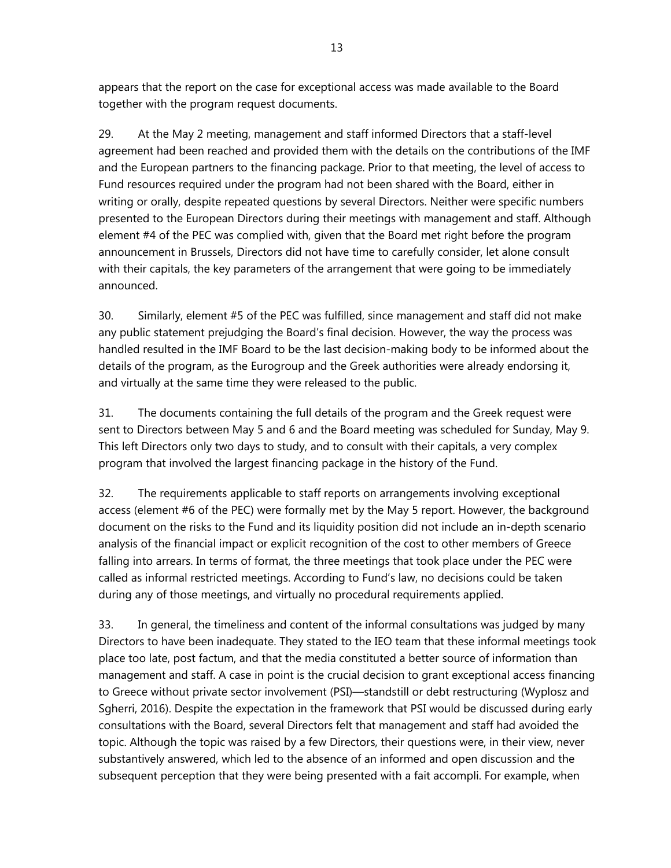appears that the report on the case for exceptional access was made available to the Board together with the program request documents.

29. At the May 2 meeting, management and staff informed Directors that a staff-level agreement had been reached and provided them with the details on the contributions of the IMF and the European partners to the financing package. Prior to that meeting, the level of access to Fund resources required under the program had not been shared with the Board, either in writing or orally, despite repeated questions by several Directors. Neither were specific numbers presented to the European Directors during their meetings with management and staff. Although element #4 of the PEC was complied with, given that the Board met right before the program announcement in Brussels, Directors did not have time to carefully consider, let alone consult with their capitals, the key parameters of the arrangement that were going to be immediately announced.

30. Similarly, element #5 of the PEC was fulfilled, since management and staff did not make any public statement prejudging the Board's final decision. However, the way the process was handled resulted in the IMF Board to be the last decision-making body to be informed about the details of the program, as the Eurogroup and the Greek authorities were already endorsing it, and virtually at the same time they were released to the public.

31. The documents containing the full details of the program and the Greek request were sent to Directors between May 5 and 6 and the Board meeting was scheduled for Sunday, May 9. This left Directors only two days to study, and to consult with their capitals, a very complex program that involved the largest financing package in the history of the Fund.

32. The requirements applicable to staff reports on arrangements involving exceptional access (element #6 of the PEC) were formally met by the May 5 report. However, the background document on the risks to the Fund and its liquidity position did not include an in-depth scenario analysis of the financial impact or explicit recognition of the cost to other members of Greece falling into arrears. In terms of format, the three meetings that took place under the PEC were called as informal restricted meetings. According to Fund's law, no decisions could be taken during any of those meetings, and virtually no procedural requirements applied.

33. In general, the timeliness and content of the informal consultations was judged by many Directors to have been inadequate. They stated to the IEO team that these informal meetings took place too late, post factum, and that the media constituted a better source of information than management and staff. A case in point is the crucial decision to grant exceptional access financing to Greece without private sector involvement (PSI)—standstill or debt restructuring (Wyplosz and Sgherri, 2016). Despite the expectation in the framework that PSI would be discussed during early consultations with the Board, several Directors felt that management and staff had avoided the topic. Although the topic was raised by a few Directors, their questions were, in their view, never substantively answered, which led to the absence of an informed and open discussion and the subsequent perception that they were being presented with a fait accompli. For example, when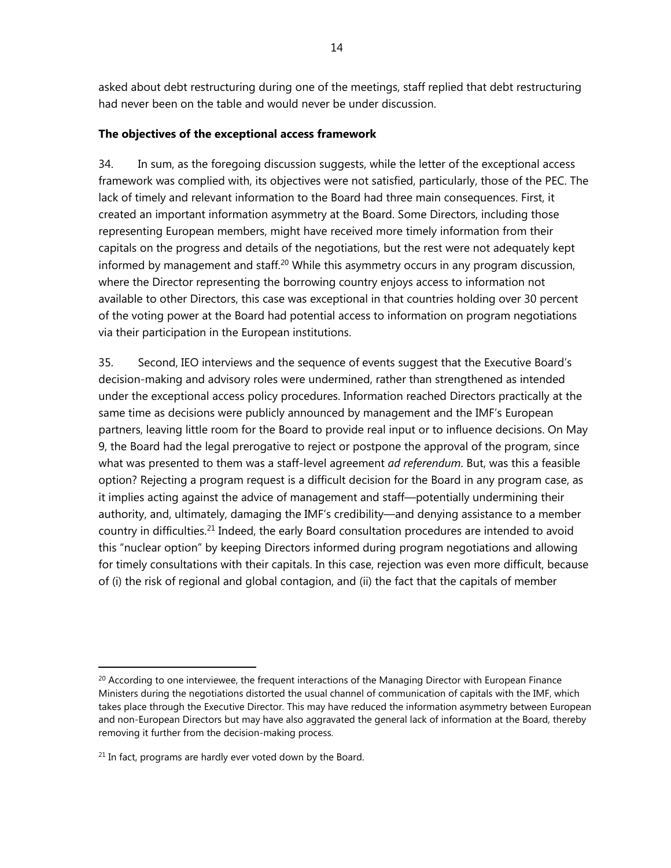asked about debt restructuring during one of the meetings, staff replied that debt restructuring had never been on the table and would never be under discussion.

#### **The objectives of the exceptional access framework**

34. In sum, as the foregoing discussion suggests, while the letter of the exceptional access framework was complied with, its objectives were not satisfied, particularly, those of the PEC. The lack of timely and relevant information to the Board had three main consequences. First, it created an important information asymmetry at the Board. Some Directors, including those representing European members, might have received more timely information from their capitals on the progress and details of the negotiations, but the rest were not adequately kept informed by management and staff.<sup>20</sup> While this asymmetry occurs in any program discussion, where the Director representing the borrowing country enjoys access to information not available to other Directors, this case was exceptional in that countries holding over 30 percent of the voting power at the Board had potential access to information on program negotiations via their participation in the European institutions.

35. Second, IEO interviews and the sequence of events suggest that the Executive Board's decision-making and advisory roles were undermined, rather than strengthened as intended under the exceptional access policy procedures. Information reached Directors practically at the same time as decisions were publicly announced by management and the IMF's European partners, leaving little room for the Board to provide real input or to influence decisions. On May 9, the Board had the legal prerogative to reject or postpone the approval of the program, since what was presented to them was a staff-level agreement *ad referendum*. But, was this a feasible option? Rejecting a program request is a difficult decision for the Board in any program case, as it implies acting against the advice of management and staff—potentially undermining their authority, and, ultimately, damaging the IMF's credibility—and denying assistance to a member country in difficulties.21 Indeed, the early Board consultation procedures are intended to avoid this "nuclear option" by keeping Directors informed during program negotiations and allowing for timely consultations with their capitals. In this case, rejection was even more difficult, because of (i) the risk of regional and global contagion, and (ii) the fact that the capitals of member

 $20$  According to one interviewee, the frequent interactions of the Managing Director with European Finance Ministers during the negotiations distorted the usual channel of communication of capitals with the IMF, which takes place through the Executive Director. This may have reduced the information asymmetry between European and non-European Directors but may have also aggravated the general lack of information at the Board, thereby removing it further from the decision-making process.

 $21$  In fact, programs are hardly ever voted down by the Board.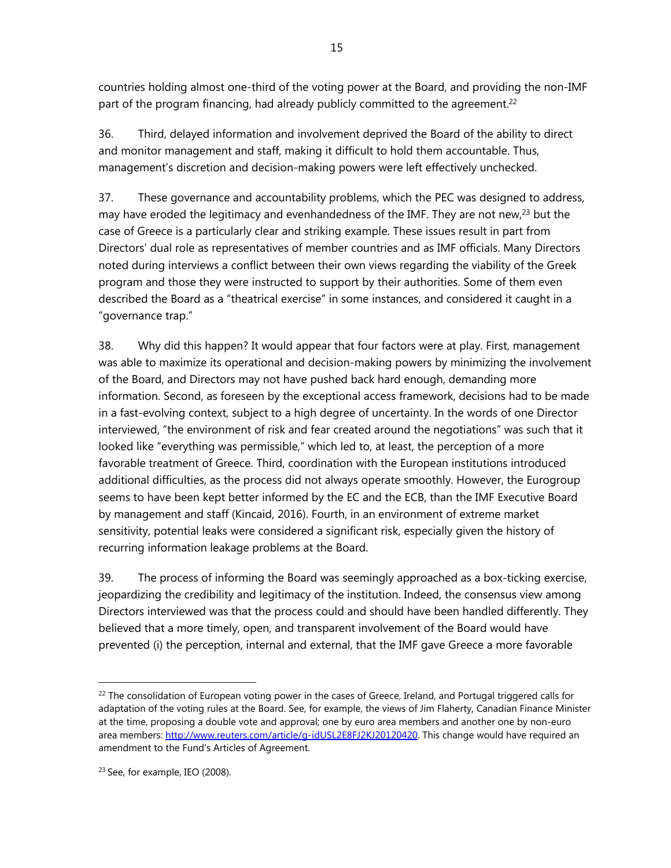countries holding almost one-third of the voting power at the Board, and providing the non-IMF part of the program financing, had already publicly committed to the agreement.<sup>22</sup>

36. Third, delayed information and involvement deprived the Board of the ability to direct and monitor management and staff, making it difficult to hold them accountable. Thus, management's discretion and decision-making powers were left effectively unchecked.

37. These governance and accountability problems, which the PEC was designed to address, may have eroded the legitimacy and evenhandedness of the IMF. They are not new, $^{23}$  but the case of Greece is a particularly clear and striking example. These issues result in part from Directors' dual role as representatives of member countries and as IMF officials. Many Directors noted during interviews a conflict between their own views regarding the viability of the Greek program and those they were instructed to support by their authorities. Some of them even described the Board as a "theatrical exercise" in some instances, and considered it caught in a "governance trap."

38. Why did this happen? It would appear that four factors were at play. First, management was able to maximize its operational and decision-making powers by minimizing the involvement of the Board, and Directors may not have pushed back hard enough, demanding more information. Second, as foreseen by the exceptional access framework, decisions had to be made in a fast-evolving context, subject to a high degree of uncertainty. In the words of one Director interviewed, "the environment of risk and fear created around the negotiations" was such that it looked like "everything was permissible," which led to, at least, the perception of a more favorable treatment of Greece. Third, coordination with the European institutions introduced additional difficulties, as the process did not always operate smoothly. However, the Eurogroup seems to have been kept better informed by the EC and the ECB, than the IMF Executive Board by management and staff (Kincaid, 2016). Fourth, in an environment of extreme market sensitivity, potential leaks were considered a significant risk, especially given the history of recurring information leakage problems at the Board.

39. The process of informing the Board was seemingly approached as a box-ticking exercise, jeopardizing the credibility and legitimacy of the institution. Indeed, the consensus view among Directors interviewed was that the process could and should have been handled differently. They believed that a more timely, open, and transparent involvement of the Board would have prevented (i) the perception, internal and external, that the IMF gave Greece a more favorable

 $^{22}$  The consolidation of European voting power in the cases of Greece, Ireland, and Portugal triggered calls for adaptation of the voting rules at the Board. See, for example, the views of Jim Flaherty, Canadian Finance Minister at the time, proposing a double vote and approval; one by euro area members and another one by non-euro area members: http://www.reuters.com/article/g-idUSL2E8FJ2KJ20120420. This change would have required an amendment to the Fund's Articles of Agreement.

<sup>23</sup> See, for example, IEO (2008).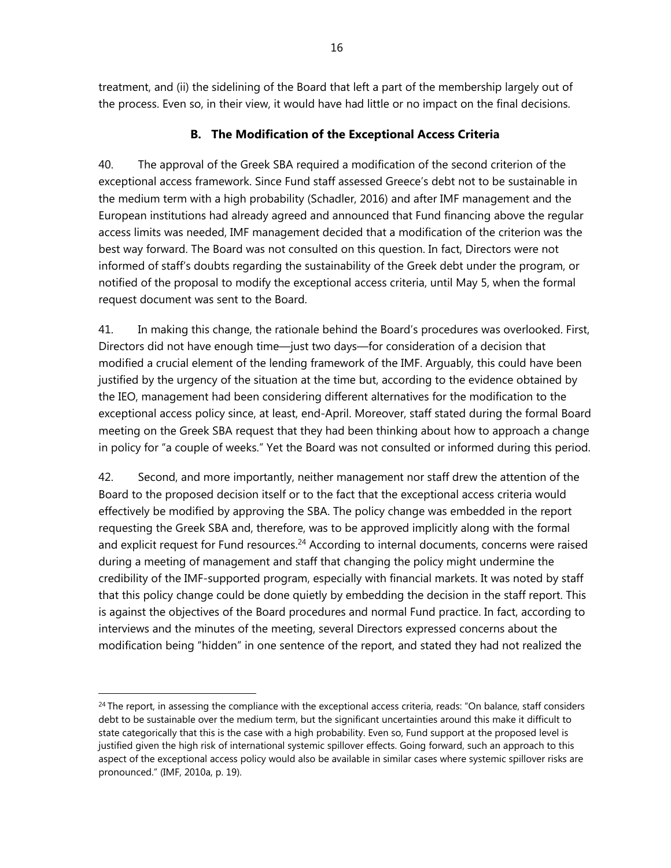treatment, and (ii) the sidelining of the Board that left a part of the membership largely out of the process. Even so, in their view, it would have had little or no impact on the final decisions.

## **B. The Modification of the Exceptional Access Criteria**

40. The approval of the Greek SBA required a modification of the second criterion of the exceptional access framework. Since Fund staff assessed Greece's debt not to be sustainable in the medium term with a high probability (Schadler, 2016) and after IMF management and the European institutions had already agreed and announced that Fund financing above the regular access limits was needed, IMF management decided that a modification of the criterion was the best way forward. The Board was not consulted on this question. In fact, Directors were not informed of staff's doubts regarding the sustainability of the Greek debt under the program, or notified of the proposal to modify the exceptional access criteria, until May 5, when the formal request document was sent to the Board.

41. In making this change, the rationale behind the Board's procedures was overlooked. First, Directors did not have enough time—just two days—for consideration of a decision that modified a crucial element of the lending framework of the IMF. Arguably, this could have been justified by the urgency of the situation at the time but, according to the evidence obtained by the IEO, management had been considering different alternatives for the modification to the exceptional access policy since, at least, end-April. Moreover, staff stated during the formal Board meeting on the Greek SBA request that they had been thinking about how to approach a change in policy for "a couple of weeks." Yet the Board was not consulted or informed during this period.

42. Second, and more importantly, neither management nor staff drew the attention of the Board to the proposed decision itself or to the fact that the exceptional access criteria would effectively be modified by approving the SBA. The policy change was embedded in the report requesting the Greek SBA and, therefore, was to be approved implicitly along with the formal and explicit request for Fund resources.<sup>24</sup> According to internal documents, concerns were raised during a meeting of management and staff that changing the policy might undermine the credibility of the IMF-supported program, especially with financial markets. It was noted by staff that this policy change could be done quietly by embedding the decision in the staff report. This is against the objectives of the Board procedures and normal Fund practice. In fact, according to interviews and the minutes of the meeting, several Directors expressed concerns about the modification being "hidden" in one sentence of the report, and stated they had not realized the

 $24$  The report, in assessing the compliance with the exceptional access criteria, reads: "On balance, staff considers debt to be sustainable over the medium term, but the significant uncertainties around this make it difficult to state categorically that this is the case with a high probability. Even so, Fund support at the proposed level is justified given the high risk of international systemic spillover effects. Going forward, such an approach to this aspect of the exceptional access policy would also be available in similar cases where systemic spillover risks are pronounced." (IMF, 2010a, p. 19).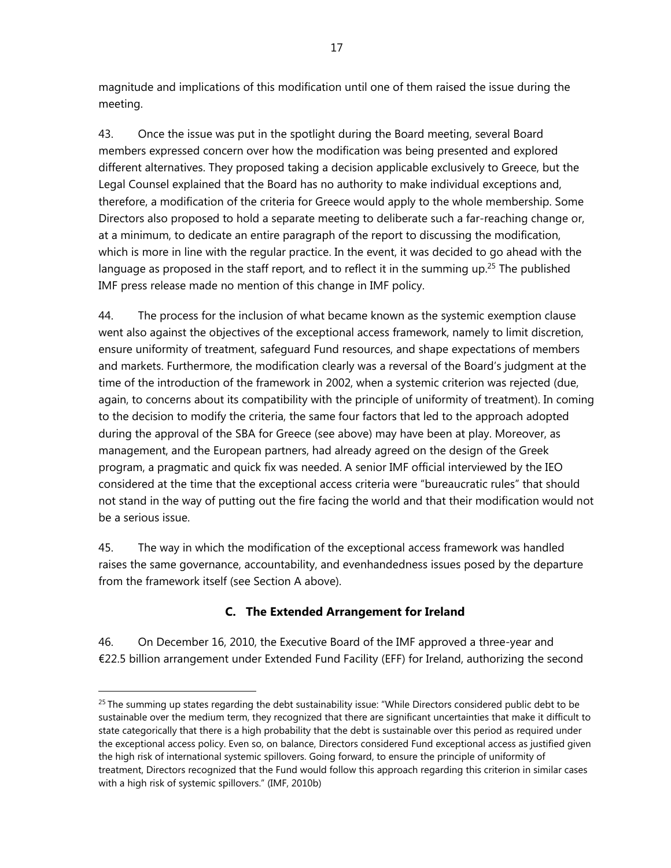magnitude and implications of this modification until one of them raised the issue during the meeting.

43. Once the issue was put in the spotlight during the Board meeting, several Board members expressed concern over how the modification was being presented and explored different alternatives. They proposed taking a decision applicable exclusively to Greece, but the Legal Counsel explained that the Board has no authority to make individual exceptions and, therefore, a modification of the criteria for Greece would apply to the whole membership. Some Directors also proposed to hold a separate meeting to deliberate such a far-reaching change or, at a minimum, to dedicate an entire paragraph of the report to discussing the modification, which is more in line with the regular practice. In the event, it was decided to go ahead with the language as proposed in the staff report, and to reflect it in the summing up.<sup>25</sup> The published IMF press release made no mention of this change in IMF policy.

44. The process for the inclusion of what became known as the systemic exemption clause went also against the objectives of the exceptional access framework, namely to limit discretion, ensure uniformity of treatment, safeguard Fund resources, and shape expectations of members and markets. Furthermore, the modification clearly was a reversal of the Board's judgment at the time of the introduction of the framework in 2002, when a systemic criterion was rejected (due, again, to concerns about its compatibility with the principle of uniformity of treatment). In coming to the decision to modify the criteria, the same four factors that led to the approach adopted during the approval of the SBA for Greece (see above) may have been at play. Moreover, as management, and the European partners, had already agreed on the design of the Greek program, a pragmatic and quick fix was needed. A senior IMF official interviewed by the IEO considered at the time that the exceptional access criteria were "bureaucratic rules" that should not stand in the way of putting out the fire facing the world and that their modification would not be a serious issue.

45. The way in which the modification of the exceptional access framework was handled raises the same governance, accountability, and evenhandedness issues posed by the departure from the framework itself (see Section A above).

# **C. The Extended Arrangement for Ireland**

46. On December 16, 2010, the Executive Board of the IMF approved a three-year and €22.5 billion arrangement under Extended Fund Facility (EFF) for Ireland, authorizing the second

 $25$  The summing up states regarding the debt sustainability issue: "While Directors considered public debt to be sustainable over the medium term, they recognized that there are significant uncertainties that make it difficult to state categorically that there is a high probability that the debt is sustainable over this period as required under the exceptional access policy. Even so, on balance, Directors considered Fund exceptional access as justified given the high risk of international systemic spillovers. Going forward, to ensure the principle of uniformity of treatment, Directors recognized that the Fund would follow this approach regarding this criterion in similar cases with a high risk of systemic spillovers." (IMF, 2010b)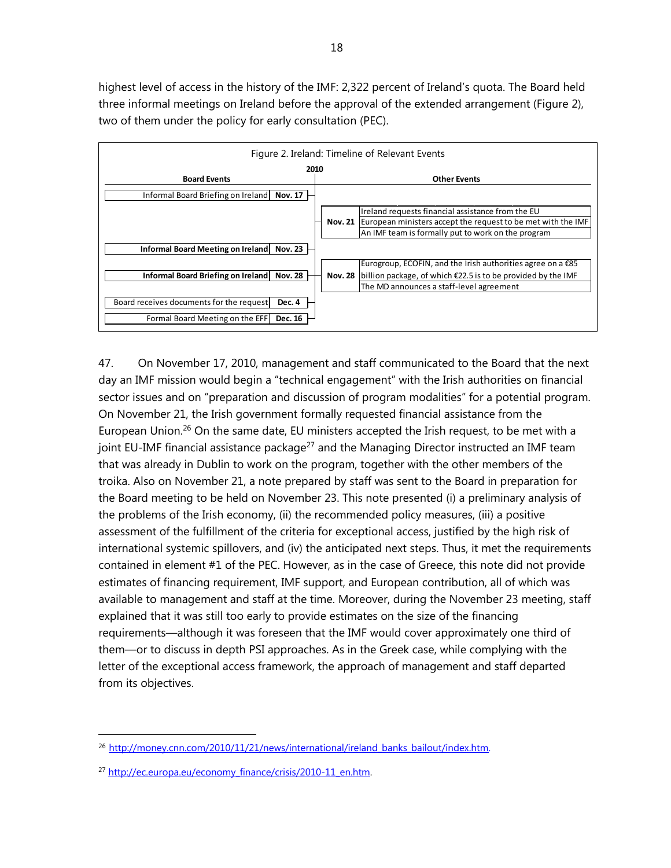highest level of access in the history of the IMF: 2,322 percent of Ireland's quota. The Board held three informal meetings on Ireland before the approval of the extended arrangement (Figure 2), two of them under the policy for early consultation (PEC).



47. On November 17, 2010, management and staff communicated to the Board that the next day an IMF mission would begin a "technical engagement" with the Irish authorities on financial sector issues and on "preparation and discussion of program modalities" for a potential program. On November 21, the Irish government formally requested financial assistance from the European Union.<sup>26</sup> On the same date, EU ministers accepted the Irish request, to be met with a joint EU-IMF financial assistance package<sup>27</sup> and the Managing Director instructed an IMF team that was already in Dublin to work on the program, together with the other members of the troika. Also on November 21, a note prepared by staff was sent to the Board in preparation for the Board meeting to be held on November 23. This note presented (i) a preliminary analysis of the problems of the Irish economy, (ii) the recommended policy measures, (iii) a positive assessment of the fulfillment of the criteria for exceptional access, justified by the high risk of international systemic spillovers, and (iv) the anticipated next steps. Thus, it met the requirements contained in element #1 of the PEC. However, as in the case of Greece, this note did not provide estimates of financing requirement, IMF support, and European contribution, all of which was available to management and staff at the time. Moreover, during the November 23 meeting, staff explained that it was still too early to provide estimates on the size of the financing requirements—although it was foreseen that the IMF would cover approximately one third of them—or to discuss in depth PSI approaches. As in the Greek case, while complying with the letter of the exceptional access framework, the approach of management and staff departed from its objectives.

<sup>&</sup>lt;sup>26</sup> http://money.cnn.com/2010/11/21/news/international/ireland\_banks\_bailout/index.htm.

<sup>&</sup>lt;sup>27</sup> http://ec.europa.eu/economy\_finance/crisis/2010-11\_en.htm.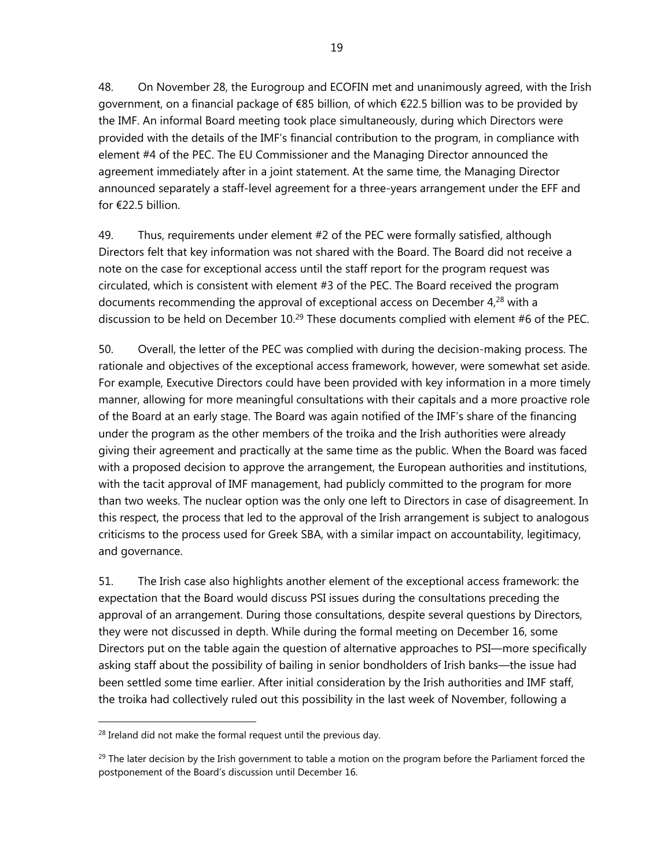<sup>19</sup>

48. On November 28, the Eurogroup and ECOFIN met and unanimously agreed, with the Irish government, on a financial package of €85 billion, of which €22.5 billion was to be provided by the IMF. An informal Board meeting took place simultaneously, during which Directors were provided with the details of the IMF's financial contribution to the program, in compliance with element #4 of the PEC. The EU Commissioner and the Managing Director announced the agreement immediately after in a joint statement. At the same time, the Managing Director announced separately a staff-level agreement for a three-years arrangement under the EFF and for €22.5 billion.

49. Thus, requirements under element #2 of the PEC were formally satisfied, although Directors felt that key information was not shared with the Board. The Board did not receive a note on the case for exceptional access until the staff report for the program request was circulated, which is consistent with element #3 of the PEC. The Board received the program documents recommending the approval of exceptional access on December  $4<sup>28</sup>$  with a discussion to be held on December  $10<sup>29</sup>$  These documents complied with element #6 of the PEC.

50. Overall, the letter of the PEC was complied with during the decision-making process. The rationale and objectives of the exceptional access framework, however, were somewhat set aside. For example, Executive Directors could have been provided with key information in a more timely manner, allowing for more meaningful consultations with their capitals and a more proactive role of the Board at an early stage. The Board was again notified of the IMF's share of the financing under the program as the other members of the troika and the Irish authorities were already giving their agreement and practically at the same time as the public. When the Board was faced with a proposed decision to approve the arrangement, the European authorities and institutions, with the tacit approval of IMF management, had publicly committed to the program for more than two weeks. The nuclear option was the only one left to Directors in case of disagreement. In this respect, the process that led to the approval of the Irish arrangement is subject to analogous criticisms to the process used for Greek SBA, with a similar impact on accountability, legitimacy, and governance.

51. The Irish case also highlights another element of the exceptional access framework: the expectation that the Board would discuss PSI issues during the consultations preceding the approval of an arrangement. During those consultations, despite several questions by Directors, they were not discussed in depth. While during the formal meeting on December 16, some Directors put on the table again the question of alternative approaches to PSI—more specifically asking staff about the possibility of bailing in senior bondholders of Irish banks—the issue had been settled some time earlier. After initial consideration by the Irish authorities and IMF staff, the troika had collectively ruled out this possibility in the last week of November, following a

 $28$  Ireland did not make the formal request until the previous day.

 $29$  The later decision by the Irish government to table a motion on the program before the Parliament forced the postponement of the Board's discussion until December 16.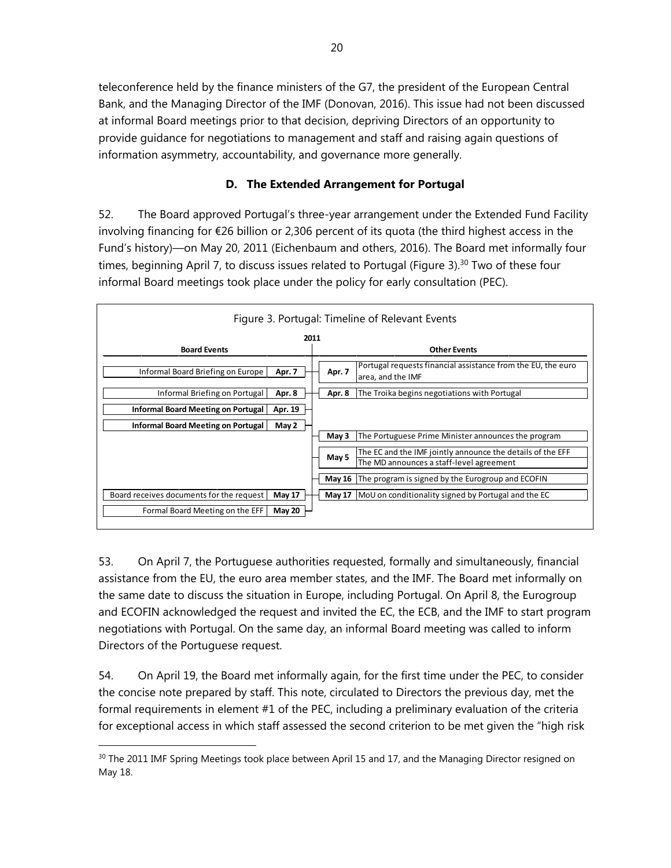teleconference held by the finance ministers of the G7, the president of the European Central Bank, and the Managing Director of the IMF (Donovan, 2016). This issue had not been discussed at informal Board meetings prior to that decision, depriving Directors of an opportunity to provide guidance for negotiations to management and staff and raising again questions of information asymmetry, accountability, and governance more generally.

## **D. The Extended Arrangement for Portugal**

52. The Board approved Portugal's three-year arrangement under the Extended Fund Facility involving financing for €26 billion or 2,306 percent of its quota (the third highest access in the Fund's history)—on May 20, 2011 (Eichenbaum and others, 2016). The Board met informally four times, beginning April 7, to discuss issues related to Portugal (Figure 3).<sup>30</sup> Two of these four informal Board meetings took place under the policy for early consultation (PEC).

|                                                           | Figure 3. Portugal: Timeline of Relevant Events                                                                 |
|-----------------------------------------------------------|-----------------------------------------------------------------------------------------------------------------|
| 2011                                                      |                                                                                                                 |
| <b>Board Events</b>                                       | <b>Other Events</b>                                                                                             |
| Informal Board Briefing on Europe<br>Apr. 7               | Portugal requests financial assistance from the EU, the euro<br>Apr. 7<br>area, and the IMF                     |
| Informal Briefing on Portugal<br>Apr. 8                   | Apr. 8<br>The Troika begins negotiations with Portugal                                                          |
| <b>Informal Board Meeting on Portugal</b><br>Apr. 19      |                                                                                                                 |
| Informal Board Meeting on Portugal<br>May 2               |                                                                                                                 |
|                                                           | The Portuguese Prime Minister announces the program<br>May 3                                                    |
|                                                           | The EC and the IMF jointly announce the details of the EFF<br>May 5<br>The MD announces a staff-level agreement |
|                                                           | May 16 The program is signed by the Eurogroup and ECOFIN                                                        |
| Board receives documents for the request<br><b>May 17</b> | <b>May 17</b><br>MoU on conditionality signed by Portugal and the EC                                            |
| May 20<br>Formal Board Meeting on the EFF                 |                                                                                                                 |

53. On April 7, the Portuguese authorities requested, formally and simultaneously, financial assistance from the EU, the euro area member states, and the IMF. The Board met informally on the same date to discuss the situation in Europe, including Portugal. On April 8, the Eurogroup and ECOFIN acknowledged the request and invited the EC, the ECB, and the IMF to start program negotiations with Portugal. On the same day, an informal Board meeting was called to inform Directors of the Portuguese request.

54. On April 19, the Board met informally again, for the first time under the PEC, to consider the concise note prepared by staff. This note, circulated to Directors the previous day, met the formal requirements in element #1 of the PEC, including a preliminary evaluation of the criteria for exceptional access in which staff assessed the second criterion to be met given the "high risk

<sup>&</sup>lt;sup>30</sup> The 2011 IMF Spring Meetings took place between April 15 and 17, and the Managing Director resigned on May 18.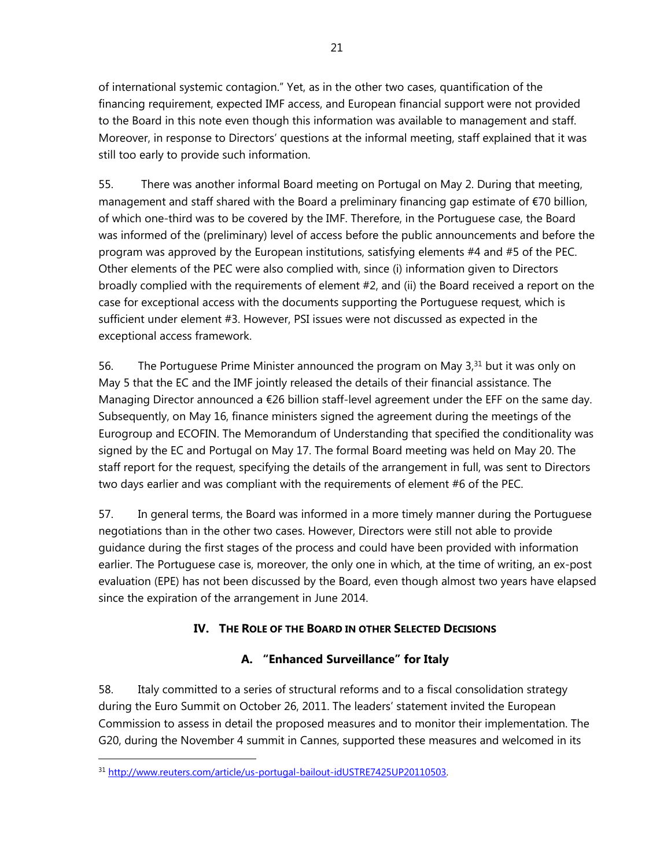of international systemic contagion." Yet, as in the other two cases, quantification of the financing requirement, expected IMF access, and European financial support were not provided to the Board in this note even though this information was available to management and staff. Moreover, in response to Directors' questions at the informal meeting, staff explained that it was still too early to provide such information.

55. There was another informal Board meeting on Portugal on May 2. During that meeting, management and staff shared with the Board a preliminary financing gap estimate of €70 billion, of which one-third was to be covered by the IMF. Therefore, in the Portuguese case, the Board was informed of the (preliminary) level of access before the public announcements and before the program was approved by the European institutions, satisfying elements #4 and #5 of the PEC. Other elements of the PEC were also complied with, since (i) information given to Directors broadly complied with the requirements of element #2, and (ii) the Board received a report on the case for exceptional access with the documents supporting the Portuguese request, which is sufficient under element #3. However, PSI issues were not discussed as expected in the exceptional access framework.

56. The Portuguese Prime Minister announced the program on May  $3<sup>31</sup>$  but it was only on May 5 that the EC and the IMF jointly released the details of their financial assistance. The Managing Director announced a €26 billion staff-level agreement under the EFF on the same day. Subsequently, on May 16, finance ministers signed the agreement during the meetings of the Eurogroup and ECOFIN. The Memorandum of Understanding that specified the conditionality was signed by the EC and Portugal on May 17. The formal Board meeting was held on May 20. The staff report for the request, specifying the details of the arrangement in full, was sent to Directors two days earlier and was compliant with the requirements of element #6 of the PEC.

57. In general terms, the Board was informed in a more timely manner during the Portuguese negotiations than in the other two cases. However, Directors were still not able to provide guidance during the first stages of the process and could have been provided with information earlier. The Portuguese case is, moreover, the only one in which, at the time of writing, an ex-post evaluation (EPE) has not been discussed by the Board, even though almost two years have elapsed since the expiration of the arrangement in June 2014.

# **IV. THE ROLE OF THE BOARD IN OTHER SELECTED DECISIONS**

# **A. "Enhanced Surveillance" for Italy**

58. Italy committed to a series of structural reforms and to a fiscal consolidation strategy during the Euro Summit on October 26, 2011. The leaders' statement invited the European Commission to assess in detail the proposed measures and to monitor their implementation. The G20, during the November 4 summit in Cannes, supported these measures and welcomed in its

<sup>31</sup> http://www.reuters.com/article/us-portugal-bailout-idUSTRE7425UP20110503.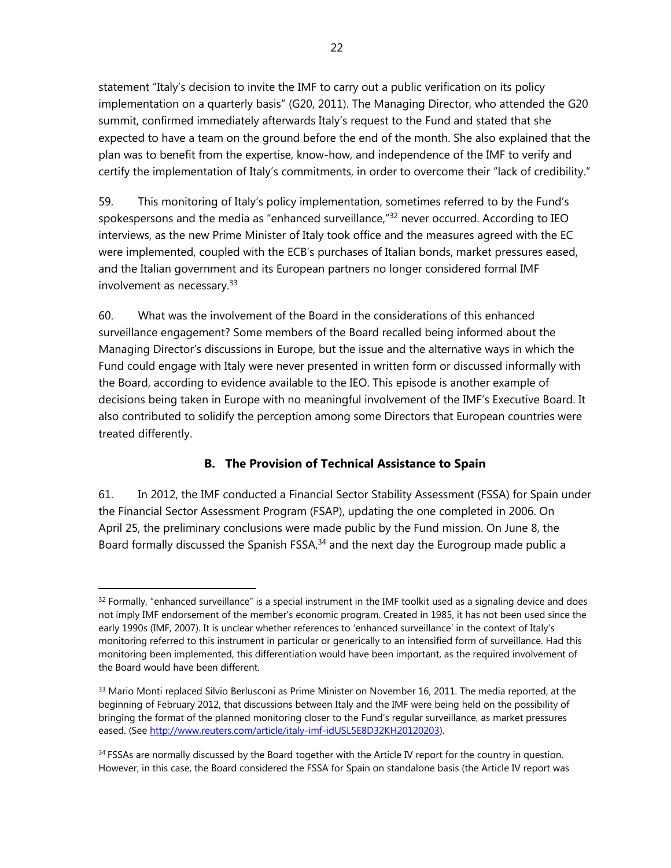statement "Italy's decision to invite the IMF to carry out a public verification on its policy implementation on a quarterly basis" (G20, 2011). The Managing Director, who attended the G20 summit, confirmed immediately afterwards Italy's request to the Fund and stated that she expected to have a team on the ground before the end of the month. She also explained that the plan was to benefit from the expertise, know-how, and independence of the IMF to verify and certify the implementation of Italy's commitments, in order to overcome their "lack of credibility."

59. This monitoring of Italy's policy implementation, sometimes referred to by the Fund's spokespersons and the media as "enhanced surveillance," $32$  never occurred. According to IEO interviews, as the new Prime Minister of Italy took office and the measures agreed with the EC were implemented, coupled with the ECB's purchases of Italian bonds, market pressures eased, and the Italian government and its European partners no longer considered formal IMF involvement as necessary.33

60. What was the involvement of the Board in the considerations of this enhanced surveillance engagement? Some members of the Board recalled being informed about the Managing Director's discussions in Europe, but the issue and the alternative ways in which the Fund could engage with Italy were never presented in written form or discussed informally with the Board, according to evidence available to the IEO. This episode is another example of decisions being taken in Europe with no meaningful involvement of the IMF's Executive Board. It also contributed to solidify the perception among some Directors that European countries were treated differently.

## **B. The Provision of Technical Assistance to Spain**

61. In 2012, the IMF conducted a Financial Sector Stability Assessment (FSSA) for Spain under the Financial Sector Assessment Program (FSAP), updating the one completed in 2006. On April 25, the preliminary conclusions were made public by the Fund mission. On June 8, the Board formally discussed the Spanish FSSA,<sup>34</sup> and the next day the Eurogroup made public a

 $32$  Formally, "enhanced surveillance" is a special instrument in the IMF toolkit used as a signaling device and does not imply IMF endorsement of the member's economic program. Created in 1985, it has not been used since the early 1990s (IMF, 2007). It is unclear whether references to 'enhanced surveillance' in the context of Italy's monitoring referred to this instrument in particular or generically to an intensified form of surveillance. Had this monitoring been implemented, this differentiation would have been important, as the required involvement of the Board would have been different.

<sup>&</sup>lt;sup>33</sup> Mario Monti replaced Silvio Berlusconi as Prime Minister on November 16, 2011. The media reported, at the beginning of February 2012, that discussions between Italy and the IMF were being held on the possibility of bringing the format of the planned monitoring closer to the Fund's regular surveillance, as market pressures eased. (See http://www.reuters.com/article/italy-imf-idUSL5E8D32KH20120203).

<sup>&</sup>lt;sup>34</sup> FSSAs are normally discussed by the Board together with the Article IV report for the country in question. However, in this case, the Board considered the FSSA for Spain on standalone basis (the Article IV report was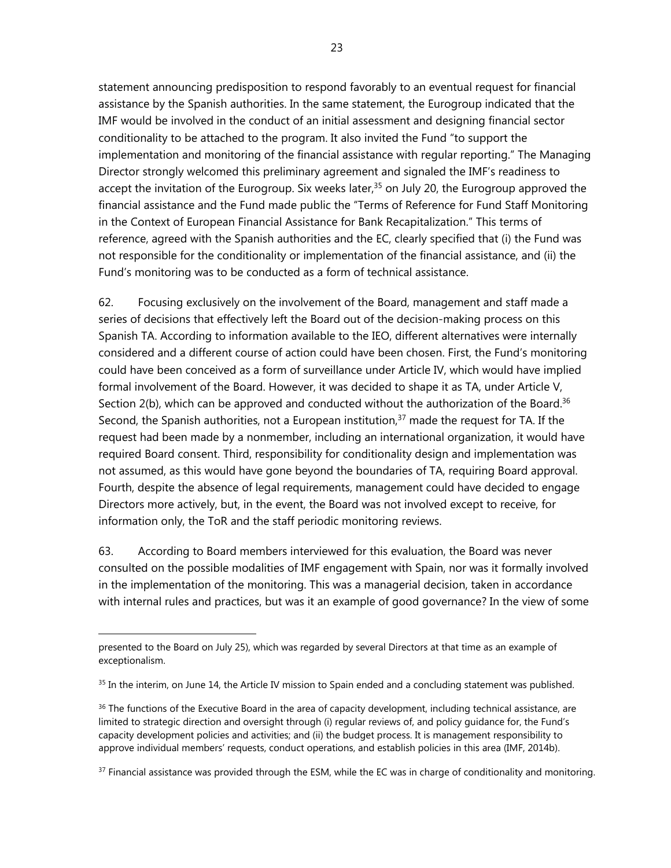statement announcing predisposition to respond favorably to an eventual request for financial assistance by the Spanish authorities. In the same statement, the Eurogroup indicated that the IMF would be involved in the conduct of an initial assessment and designing financial sector conditionality to be attached to the program. It also invited the Fund "to support the implementation and monitoring of the financial assistance with regular reporting." The Managing Director strongly welcomed this preliminary agreement and signaled the IMF's readiness to accept the invitation of the Eurogroup. Six weeks later, $35$  on July 20, the Eurogroup approved the financial assistance and the Fund made public the "Terms of Reference for Fund Staff Monitoring in the Context of European Financial Assistance for Bank Recapitalization." This terms of reference, agreed with the Spanish authorities and the EC, clearly specified that (i) the Fund was not responsible for the conditionality or implementation of the financial assistance, and (ii) the Fund's monitoring was to be conducted as a form of technical assistance.

62. Focusing exclusively on the involvement of the Board, management and staff made a series of decisions that effectively left the Board out of the decision-making process on this Spanish TA. According to information available to the IEO, different alternatives were internally considered and a different course of action could have been chosen. First, the Fund's monitoring could have been conceived as a form of surveillance under Article IV, which would have implied formal involvement of the Board. However, it was decided to shape it as TA, under Article V, Section 2(b), which can be approved and conducted without the authorization of the Board.<sup>36</sup> Second, the Spanish authorities, not a European institution, $37$  made the request for TA. If the request had been made by a nonmember, including an international organization, it would have required Board consent. Third, responsibility for conditionality design and implementation was not assumed, as this would have gone beyond the boundaries of TA, requiring Board approval. Fourth, despite the absence of legal requirements, management could have decided to engage Directors more actively, but, in the event, the Board was not involved except to receive, for information only, the ToR and the staff periodic monitoring reviews.

63. According to Board members interviewed for this evaluation, the Board was never consulted on the possible modalities of IMF engagement with Spain, nor was it formally involved in the implementation of the monitoring. This was a managerial decision, taken in accordance with internal rules and practices, but was it an example of good governance? In the view of some

 $\overline{a}$ 

 $37$  Financial assistance was provided through the ESM, while the EC was in charge of conditionality and monitoring.

presented to the Board on July 25), which was regarded by several Directors at that time as an example of exceptionalism.

 $35$  In the interim, on June 14, the Article IV mission to Spain ended and a concluding statement was published.

<sup>&</sup>lt;sup>36</sup> The functions of the Executive Board in the area of capacity development, including technical assistance, are limited to strategic direction and oversight through (i) regular reviews of, and policy guidance for, the Fund's capacity development policies and activities; and (ii) the budget process. It is management responsibility to approve individual members' requests, conduct operations, and establish policies in this area (IMF, 2014b).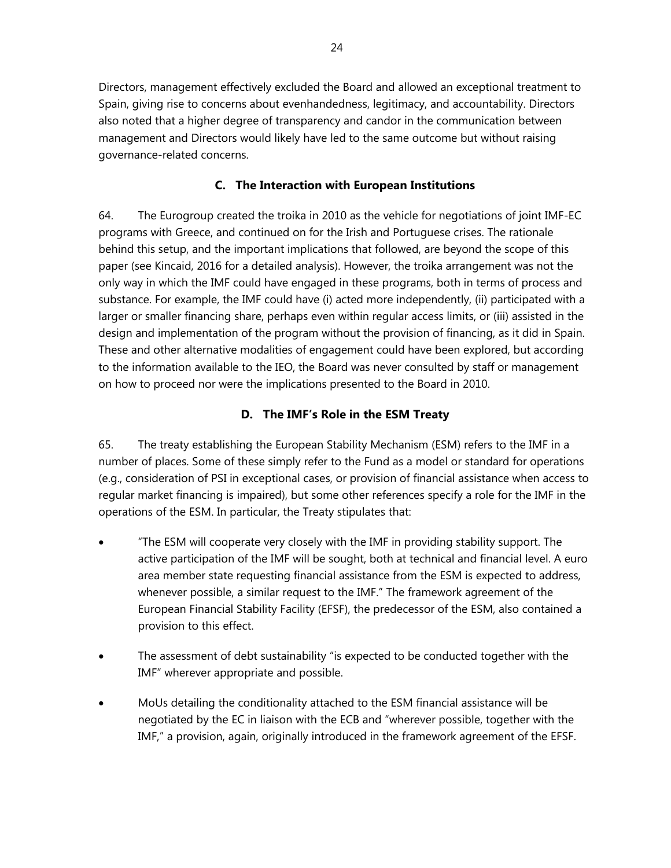Directors, management effectively excluded the Board and allowed an exceptional treatment to Spain, giving rise to concerns about evenhandedness, legitimacy, and accountability. Directors also noted that a higher degree of transparency and candor in the communication between management and Directors would likely have led to the same outcome but without raising governance-related concerns.

#### **C. The Interaction with European Institutions**

64. The Eurogroup created the troika in 2010 as the vehicle for negotiations of joint IMF-EC programs with Greece, and continued on for the Irish and Portuguese crises. The rationale behind this setup, and the important implications that followed, are beyond the scope of this paper (see Kincaid, 2016 for a detailed analysis). However, the troika arrangement was not the only way in which the IMF could have engaged in these programs, both in terms of process and substance. For example, the IMF could have (i) acted more independently, (ii) participated with a larger or smaller financing share, perhaps even within regular access limits, or (iii) assisted in the design and implementation of the program without the provision of financing, as it did in Spain. These and other alternative modalities of engagement could have been explored, but according to the information available to the IEO, the Board was never consulted by staff or management on how to proceed nor were the implications presented to the Board in 2010.

#### **D. The IMF's Role in the ESM Treaty**

65. The treaty establishing the European Stability Mechanism (ESM) refers to the IMF in a number of places. Some of these simply refer to the Fund as a model or standard for operations (e.g., consideration of PSI in exceptional cases, or provision of financial assistance when access to regular market financing is impaired), but some other references specify a role for the IMF in the operations of the ESM. In particular, the Treaty stipulates that:

- "The ESM will cooperate very closely with the IMF in providing stability support. The active participation of the IMF will be sought, both at technical and financial level. A euro area member state requesting financial assistance from the ESM is expected to address, whenever possible, a similar request to the IMF." The framework agreement of the European Financial Stability Facility (EFSF), the predecessor of the ESM, also contained a provision to this effect.
- The assessment of debt sustainability "is expected to be conducted together with the IMF" wherever appropriate and possible.
- MoUs detailing the conditionality attached to the ESM financial assistance will be negotiated by the EC in liaison with the ECB and "wherever possible, together with the IMF," a provision, again, originally introduced in the framework agreement of the EFSF.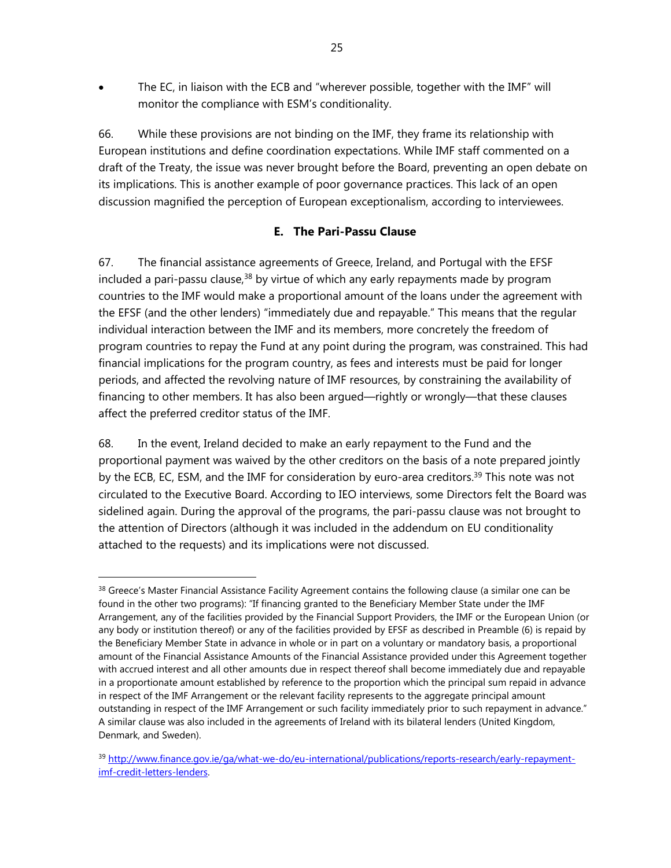The EC, in liaison with the ECB and "wherever possible, together with the IMF" will monitor the compliance with ESM's conditionality.

66. While these provisions are not binding on the IMF, they frame its relationship with European institutions and define coordination expectations. While IMF staff commented on a draft of the Treaty, the issue was never brought before the Board, preventing an open debate on its implications. This is another example of poor governance practices. This lack of an open discussion magnified the perception of European exceptionalism, according to interviewees.

## **E. The Pari-Passu Clause**

67. The financial assistance agreements of Greece, Ireland, and Portugal with the EFSF included a pari-passu clause, $38$  by virtue of which any early repayments made by program countries to the IMF would make a proportional amount of the loans under the agreement with the EFSF (and the other lenders) "immediately due and repayable." This means that the regular individual interaction between the IMF and its members, more concretely the freedom of program countries to repay the Fund at any point during the program, was constrained. This had financial implications for the program country, as fees and interests must be paid for longer periods, and affected the revolving nature of IMF resources, by constraining the availability of financing to other members. It has also been argued—rightly or wrongly—that these clauses affect the preferred creditor status of the IMF.

68. In the event, Ireland decided to make an early repayment to the Fund and the proportional payment was waived by the other creditors on the basis of a note prepared jointly by the ECB, EC, ESM, and the IMF for consideration by euro-area creditors.<sup>39</sup> This note was not circulated to the Executive Board. According to IEO interviews, some Directors felt the Board was sidelined again. During the approval of the programs, the pari-passu clause was not brought to the attention of Directors (although it was included in the addendum on EU conditionality attached to the requests) and its implications were not discussed.

<sup>&</sup>lt;sup>38</sup> Greece's Master Financial Assistance Facility Agreement contains the following clause (a similar one can be found in the other two programs): "If financing granted to the Beneficiary Member State under the IMF Arrangement, any of the facilities provided by the Financial Support Providers, the IMF or the European Union (or any body or institution thereof) or any of the facilities provided by EFSF as described in Preamble (6) is repaid by the Beneficiary Member State in advance in whole or in part on a voluntary or mandatory basis, a proportional amount of the Financial Assistance Amounts of the Financial Assistance provided under this Agreement together with accrued interest and all other amounts due in respect thereof shall become immediately due and repayable in a proportionate amount established by reference to the proportion which the principal sum repaid in advance in respect of the IMF Arrangement or the relevant facility represents to the aggregate principal amount outstanding in respect of the IMF Arrangement or such facility immediately prior to such repayment in advance." A similar clause was also included in the agreements of Ireland with its bilateral lenders (United Kingdom, Denmark, and Sweden).

<sup>39</sup> http://www.finance.gov.ie/ga/what-we-do/eu-international/publications/reports-research/early-repaymentimf-credit-letters-lenders.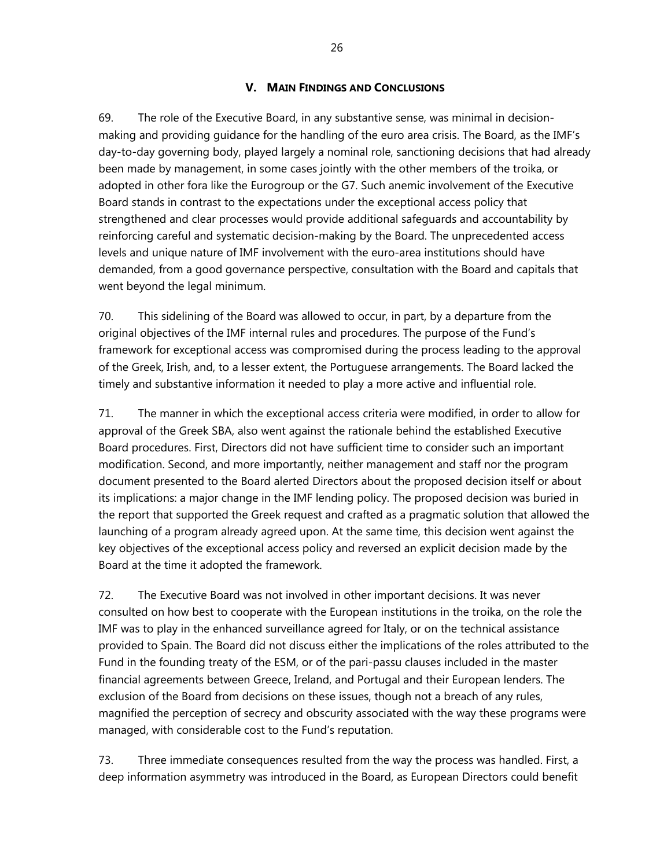#### **V. MAIN FINDINGS AND CONCLUSIONS**

69. The role of the Executive Board, in any substantive sense, was minimal in decisionmaking and providing guidance for the handling of the euro area crisis. The Board, as the IMF's day-to-day governing body, played largely a nominal role, sanctioning decisions that had already been made by management, in some cases jointly with the other members of the troika, or adopted in other fora like the Eurogroup or the G7. Such anemic involvement of the Executive Board stands in contrast to the expectations under the exceptional access policy that strengthened and clear processes would provide additional safeguards and accountability by reinforcing careful and systematic decision-making by the Board. The unprecedented access levels and unique nature of IMF involvement with the euro-area institutions should have demanded, from a good governance perspective, consultation with the Board and capitals that went beyond the legal minimum.

70. This sidelining of the Board was allowed to occur, in part, by a departure from the original objectives of the IMF internal rules and procedures. The purpose of the Fund's framework for exceptional access was compromised during the process leading to the approval of the Greek, Irish, and, to a lesser extent, the Portuguese arrangements. The Board lacked the timely and substantive information it needed to play a more active and influential role.

71. The manner in which the exceptional access criteria were modified, in order to allow for approval of the Greek SBA, also went against the rationale behind the established Executive Board procedures. First, Directors did not have sufficient time to consider such an important modification. Second, and more importantly, neither management and staff nor the program document presented to the Board alerted Directors about the proposed decision itself or about its implications: a major change in the IMF lending policy. The proposed decision was buried in the report that supported the Greek request and crafted as a pragmatic solution that allowed the launching of a program already agreed upon. At the same time, this decision went against the key objectives of the exceptional access policy and reversed an explicit decision made by the Board at the time it adopted the framework.

72. The Executive Board was not involved in other important decisions. It was never consulted on how best to cooperate with the European institutions in the troika, on the role the IMF was to play in the enhanced surveillance agreed for Italy, or on the technical assistance provided to Spain. The Board did not discuss either the implications of the roles attributed to the Fund in the founding treaty of the ESM, or of the pari-passu clauses included in the master financial agreements between Greece, Ireland, and Portugal and their European lenders. The exclusion of the Board from decisions on these issues, though not a breach of any rules, magnified the perception of secrecy and obscurity associated with the way these programs were managed, with considerable cost to the Fund's reputation.

73. Three immediate consequences resulted from the way the process was handled. First, a deep information asymmetry was introduced in the Board, as European Directors could benefit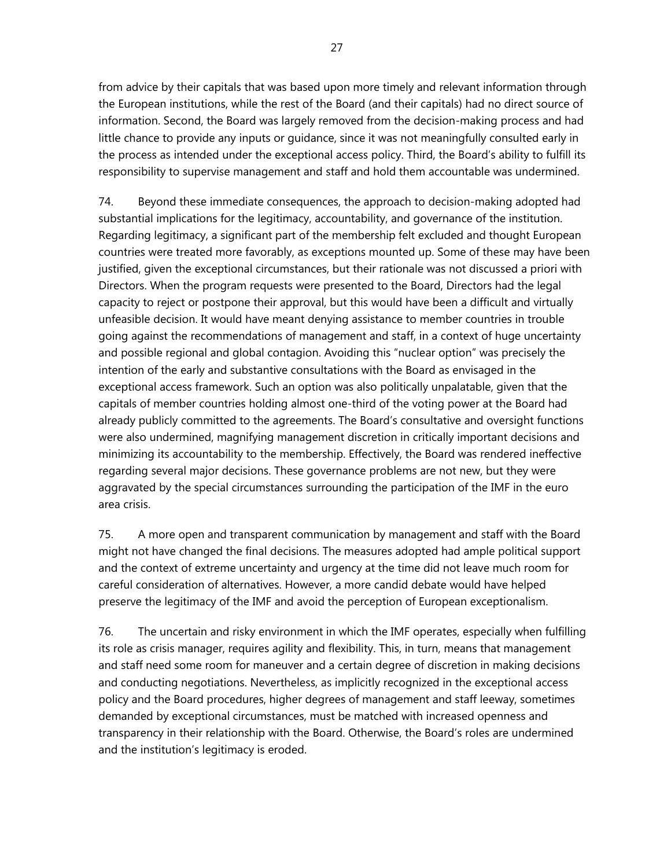from advice by their capitals that was based upon more timely and relevant information through the European institutions, while the rest of the Board (and their capitals) had no direct source of information. Second, the Board was largely removed from the decision-making process and had little chance to provide any inputs or guidance, since it was not meaningfully consulted early in the process as intended under the exceptional access policy. Third, the Board's ability to fulfill its responsibility to supervise management and staff and hold them accountable was undermined.

74. Beyond these immediate consequences, the approach to decision-making adopted had substantial implications for the legitimacy, accountability, and governance of the institution. Regarding legitimacy, a significant part of the membership felt excluded and thought European countries were treated more favorably, as exceptions mounted up. Some of these may have been justified, given the exceptional circumstances, but their rationale was not discussed a priori with Directors. When the program requests were presented to the Board, Directors had the legal capacity to reject or postpone their approval, but this would have been a difficult and virtually unfeasible decision. It would have meant denying assistance to member countries in trouble going against the recommendations of management and staff, in a context of huge uncertainty and possible regional and global contagion. Avoiding this "nuclear option" was precisely the intention of the early and substantive consultations with the Board as envisaged in the exceptional access framework. Such an option was also politically unpalatable, given that the capitals of member countries holding almost one-third of the voting power at the Board had already publicly committed to the agreements. The Board's consultative and oversight functions were also undermined, magnifying management discretion in critically important decisions and minimizing its accountability to the membership. Effectively, the Board was rendered ineffective regarding several major decisions. These governance problems are not new, but they were aggravated by the special circumstances surrounding the participation of the IMF in the euro area crisis.

75. A more open and transparent communication by management and staff with the Board might not have changed the final decisions. The measures adopted had ample political support and the context of extreme uncertainty and urgency at the time did not leave much room for careful consideration of alternatives. However, a more candid debate would have helped preserve the legitimacy of the IMF and avoid the perception of European exceptionalism.

76. The uncertain and risky environment in which the IMF operates, especially when fulfilling its role as crisis manager, requires agility and flexibility. This, in turn, means that management and staff need some room for maneuver and a certain degree of discretion in making decisions and conducting negotiations. Nevertheless, as implicitly recognized in the exceptional access policy and the Board procedures, higher degrees of management and staff leeway, sometimes demanded by exceptional circumstances, must be matched with increased openness and transparency in their relationship with the Board. Otherwise, the Board's roles are undermined and the institution's legitimacy is eroded.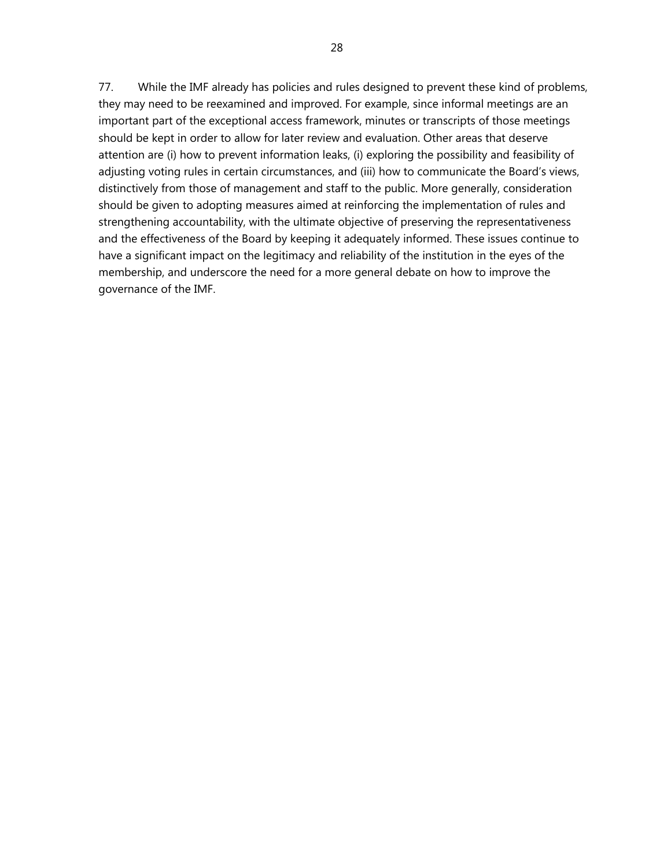77. While the IMF already has policies and rules designed to prevent these kind of problems, they may need to be reexamined and improved. For example, since informal meetings are an important part of the exceptional access framework, minutes or transcripts of those meetings should be kept in order to allow for later review and evaluation. Other areas that deserve attention are (i) how to prevent information leaks, (i) exploring the possibility and feasibility of adjusting voting rules in certain circumstances, and (iii) how to communicate the Board's views, distinctively from those of management and staff to the public. More generally, consideration should be given to adopting measures aimed at reinforcing the implementation of rules and strengthening accountability, with the ultimate objective of preserving the representativeness and the effectiveness of the Board by keeping it adequately informed. These issues continue to have a significant impact on the legitimacy and reliability of the institution in the eyes of the membership, and underscore the need for a more general debate on how to improve the governance of the IMF.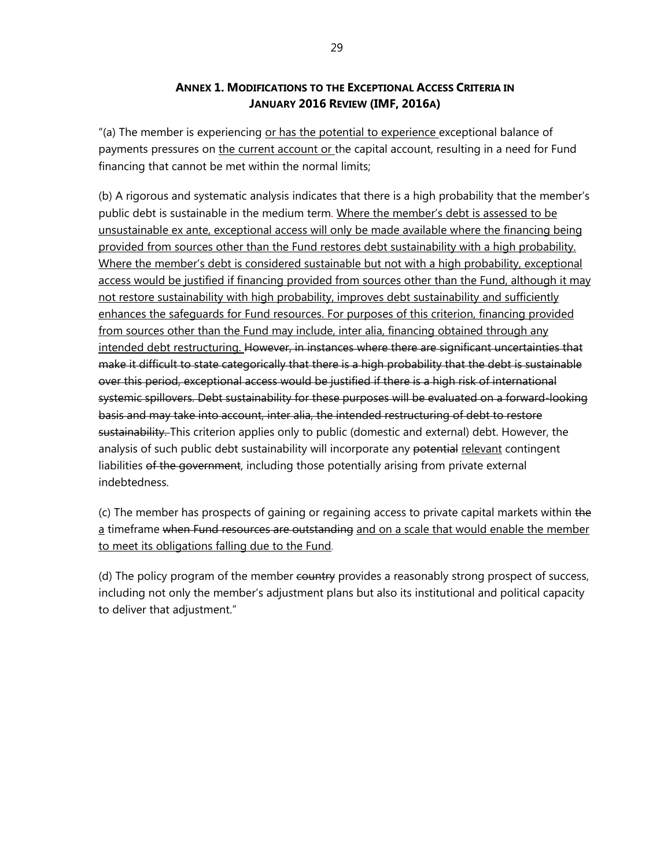#### **ANNEX 1. MODIFICATIONS TO THE EXCEPTIONAL ACCESS CRITERIA IN JANUARY 2016 REVIEW (IMF, 2016A)**

"(a) The member is experiencing or has the potential to experience exceptional balance of payments pressures on the current account or the capital account, resulting in a need for Fund financing that cannot be met within the normal limits;

(b) A rigorous and systematic analysis indicates that there is a high probability that the member's public debt is sustainable in the medium term. Where the member's debt is assessed to be unsustainable ex ante, exceptional access will only be made available where the financing being provided from sources other than the Fund restores debt sustainability with a high probability. Where the member's debt is considered sustainable but not with a high probability, exceptional access would be justified if financing provided from sources other than the Fund, although it may not restore sustainability with high probability, improves debt sustainability and sufficiently enhances the safeguards for Fund resources. For purposes of this criterion, financing provided from sources other than the Fund may include, inter alia, financing obtained through any intended debt restructuring. However, in instances where there are significant uncertainties that make it difficult to state categorically that there is a high probability that the debt is sustainable over this period, exceptional access would be justified if there is a high risk of international systemic spillovers. Debt sustainability for these purposes will be evaluated on a forward-looking basis and may take into account, inter alia, the intended restructuring of debt to restore sustainability. This criterion applies only to public (domestic and external) debt. However, the analysis of such public debt sustainability will incorporate any potential relevant contingent liabilities of the government, including those potentially arising from private external indebtedness.

(c) The member has prospects of gaining or regaining access to private capital markets within the a timeframe when Fund resources are outstanding and on a scale that would enable the member to meet its obligations falling due to the Fund.

(d) The policy program of the member country provides a reasonably strong prospect of success, including not only the member's adjustment plans but also its institutional and political capacity to deliver that adjustment."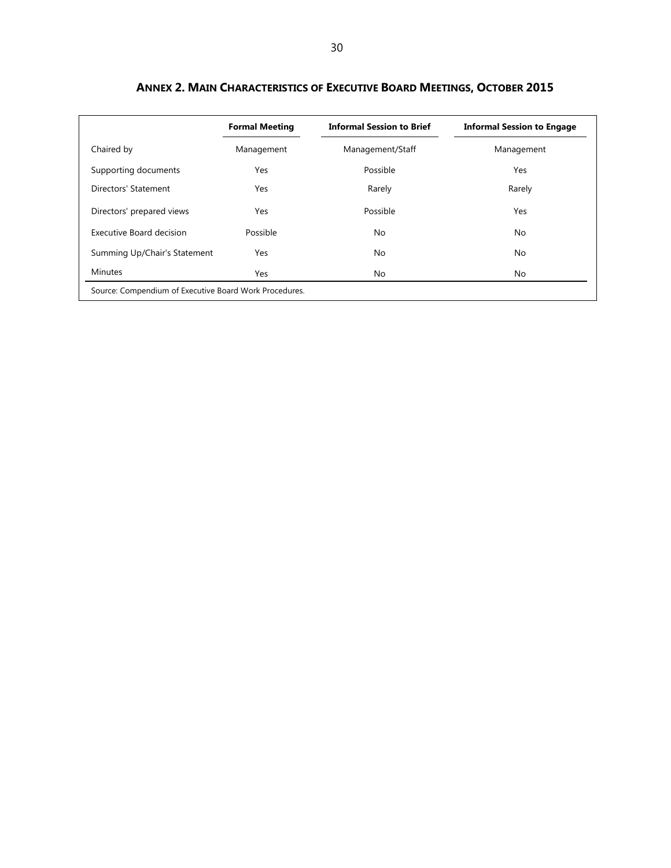|                              | <b>Formal Meeting</b> | <b>Informal Session to Brief</b> | <b>Informal Session to Engage</b> |
|------------------------------|-----------------------|----------------------------------|-----------------------------------|
| Chaired by                   | Management            | Management/Staff                 | Management                        |
| Supporting documents         | Yes                   | Possible                         | Yes                               |
| Directors' Statement         | Yes                   | Rarely                           | Rarely                            |
| Directors' prepared views    | Yes                   | Possible                         | Yes                               |
| Executive Board decision     | Possible              | No                               | No                                |
| Summing Up/Chair's Statement | Yes                   | No                               | No.                               |
| <b>Minutes</b>               | Yes                   | No                               | No                                |

**ANNEX 2. MAIN CHARACTERISTICS OF EXECUTIVE BOARD MEETINGS, OCTOBER 2015**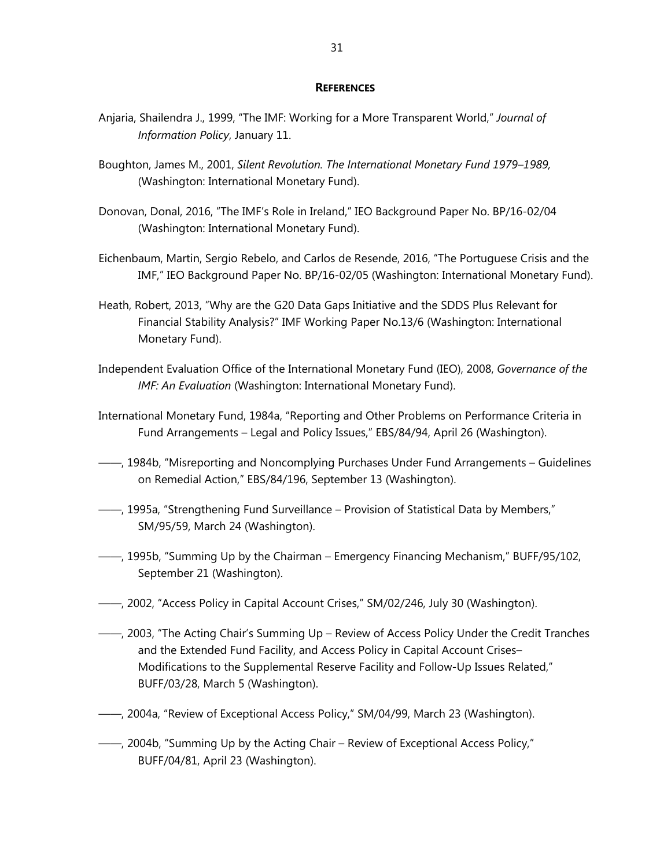#### **REFERENCES**

- Anjaria, Shailendra J., 1999, "The IMF: Working for a More Transparent World," *Journal of Information Policy*, January 11.
- Boughton, James M., 2001, *Silent Revolution. The International Monetary Fund 1979–1989,* (Washington: International Monetary Fund).
- Donovan, Donal, 2016, "The IMF's Role in Ireland," IEO Background Paper No. BP/16-02/04 (Washington: International Monetary Fund).
- Eichenbaum, Martin, Sergio Rebelo, and Carlos de Resende, 2016, "The Portuguese Crisis and the IMF," IEO Background Paper No. BP/16-02/05 (Washington: International Monetary Fund).
- Heath, Robert, 2013, "Why are the G20 Data Gaps Initiative and the SDDS Plus Relevant for Financial Stability Analysis?" IMF Working Paper No.13/6 (Washington: International Monetary Fund).
- Independent Evaluation Office of the International Monetary Fund (IEO), 2008, *Governance of the IMF: An Evaluation* (Washington: International Monetary Fund).
- International Monetary Fund, 1984a, "Reporting and Other Problems on Performance Criteria in Fund Arrangements – Legal and Policy Issues," EBS/84/94, April 26 (Washington).
- ——, 1984b, "Misreporting and Noncomplying Purchases Under Fund Arrangements Guidelines on Remedial Action," EBS/84/196, September 13 (Washington).
- ——, 1995a, "Strengthening Fund Surveillance Provision of Statistical Data by Members," SM/95/59, March 24 (Washington).
- ——, 1995b, "Summing Up by the Chairman Emergency Financing Mechanism," BUFF/95/102, September 21 (Washington).
- ——, 2002, "Access Policy in Capital Account Crises," SM/02/246, July 30 (Washington).
- ——, 2003, "The Acting Chair's Summing Up Review of Access Policy Under the Credit Tranches and the Extended Fund Facility, and Access Policy in Capital Account Crises– Modifications to the Supplemental Reserve Facility and Follow-Up Issues Related," BUFF/03/28, March 5 (Washington).
- ——, 2004a, "Review of Exceptional Access Policy," SM/04/99, March 23 (Washington).
- ——, 2004b, "Summing Up by the Acting Chair Review of Exceptional Access Policy," BUFF/04/81, April 23 (Washington).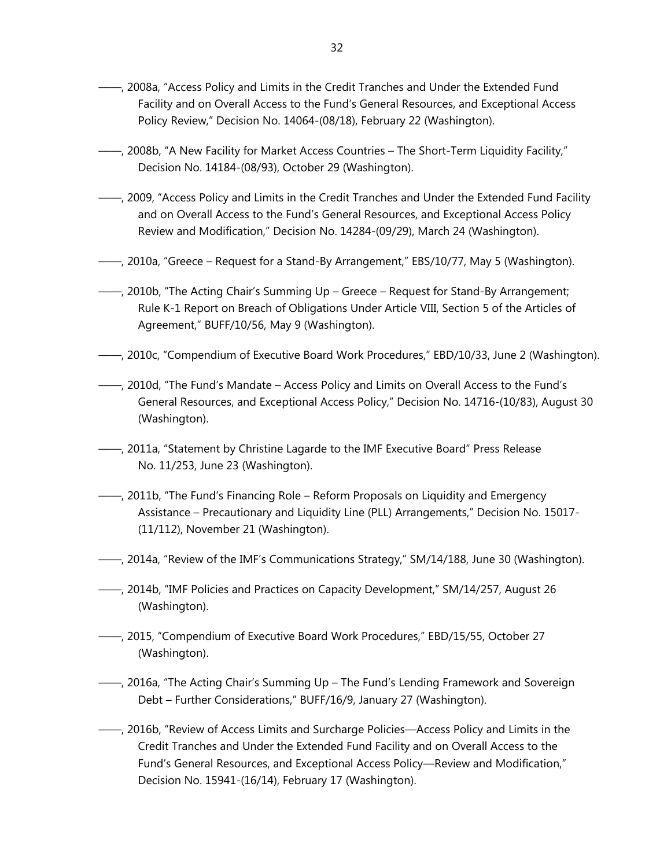- ——, 2008a, "Access Policy and Limits in the Credit Tranches and Under the Extended Fund Facility and on Overall Access to the Fund's General Resources, and Exceptional Access Policy Review," Decision No. 14064-(08/18), February 22 (Washington).
- ——, 2008b, "A New Facility for Market Access Countries The Short-Term Liquidity Facility," Decision No. 14184-(08/93), October 29 (Washington).
- ——, 2009, "Access Policy and Limits in the Credit Tranches and Under the Extended Fund Facility and on Overall Access to the Fund's General Resources, and Exceptional Access Policy Review and Modification," Decision No. 14284-(09/29), March 24 (Washington).
- ——, 2010a, "Greece Request for a Stand-By Arrangement," EBS/10/77, May 5 (Washington).
- ——, 2010b, "The Acting Chair's Summing Up Greece Request for Stand-By Arrangement; Rule K-1 Report on Breach of Obligations Under Article VIII, Section 5 of the Articles of Agreement," BUFF/10/56, May 9 (Washington).
- ——, 2010c, "Compendium of Executive Board Work Procedures," EBD/10/33, June 2 (Washington).
- ——, 2010d, "The Fund's Mandate Access Policy and Limits on Overall Access to the Fund's General Resources, and Exceptional Access Policy," Decision No. 14716-(10/83), August 30 (Washington).
- ——, 2011a, "Statement by Christine Lagarde to the IMF Executive Board" Press Release No. 11/253, June 23 (Washington).
- ——, 2011b, "The Fund's Financing Role Reform Proposals on Liquidity and Emergency Assistance – Precautionary and Liquidity Line (PLL) Arrangements," Decision No. 15017- (11/112), November 21 (Washington).
- ——, 2014a, "Review of the IMF's Communications Strategy," SM/14/188, June 30 (Washington).
- ——, 2014b, "IMF Policies and Practices on Capacity Development," SM/14/257, August 26 (Washington).
- ——, 2015, "Compendium of Executive Board Work Procedures," EBD/15/55, October 27 (Washington).
- ——, 2016a, "The Acting Chair's Summing Up The Fund's Lending Framework and Sovereign Debt – Further Considerations," BUFF/16/9, January 27 (Washington).
- ——, 2016b, "Review of Access Limits and Surcharge Policies—Access Policy and Limits in the Credit Tranches and Under the Extended Fund Facility and on Overall Access to the Fund's General Resources, and Exceptional Access Policy—Review and Modification," Decision No. 15941-(16/14), February 17 (Washington).